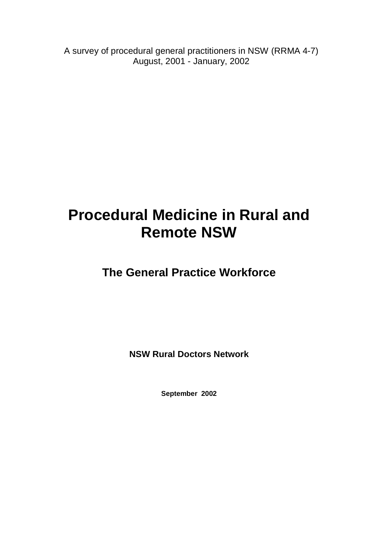A survey of procedural general practitioners in NSW (RRMA 4-7) August, 2001 - January, 2002

# **Procedural Medicine in Rural and Remote NSW**

**The General Practice Workforce**

**NSW Rural Doctors Network**

**September 2002**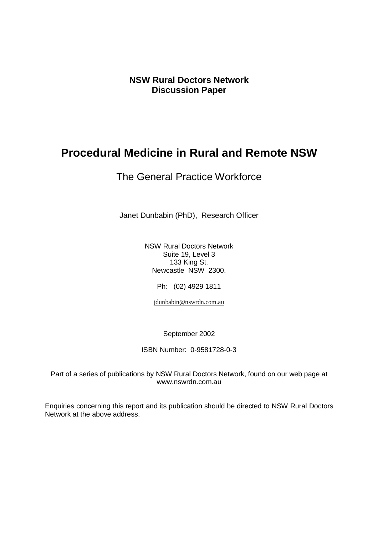**NSW Rural Doctors Network Discussion Paper**

## **Procedural Medicine in Rural and Remote NSW**

## The General Practice Workforce

Janet Dunbabin (PhD), Research Officer

NSW Rural Doctors Network Suite 19, Level 3 133 King St. Newcastle NSW 2300.

Ph: (02) 4929 1811

jdunbabin@nswrdn.com.au

September 2002

ISBN Number: 0-9581728-0-3

Part of a series of publications by NSW Rural Doctors Network, found on our web page at www.nswrdn.com.au

Enquiries concerning this report and its publication should be directed to NSW Rural Doctors Network at the above address.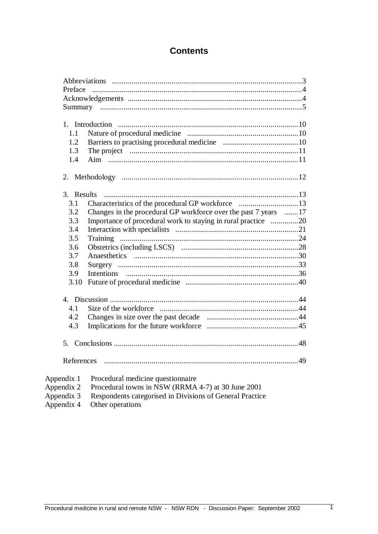## **Contents**

| Preface    |                                                                 |
|------------|-----------------------------------------------------------------|
|            |                                                                 |
|            |                                                                 |
| 1.1        |                                                                 |
| 1.2        |                                                                 |
| 1.3        |                                                                 |
| 1.4        |                                                                 |
|            |                                                                 |
| 3. Results |                                                                 |
| 3.1        |                                                                 |
| 3.2        | Changes in the procedural GP workforce over the past 7 years 17 |
| 3.3        | Importance of procedural work to staying in rural practice 20   |
| 3.4        |                                                                 |
| 3.5        | Training                                                        |
| 3.6        |                                                                 |
| 3.7        |                                                                 |
| 3.8        |                                                                 |
| 3.9        |                                                                 |
| 3.10       |                                                                 |
|            |                                                                 |
| 4.1        |                                                                 |
| 4.2        |                                                                 |
| 4.3        |                                                                 |
|            |                                                                 |
| References |                                                                 |
| Appendix 1 | Procedural medicine questionnaire                               |
| Appendix 2 | Procedural towns in NSW (RRMA 4-7) at 30 June 2001              |
| Appendix 3 | Respondents categorised in Divisions of General Practice        |
|            |                                                                 |

Appendix 4 Other operations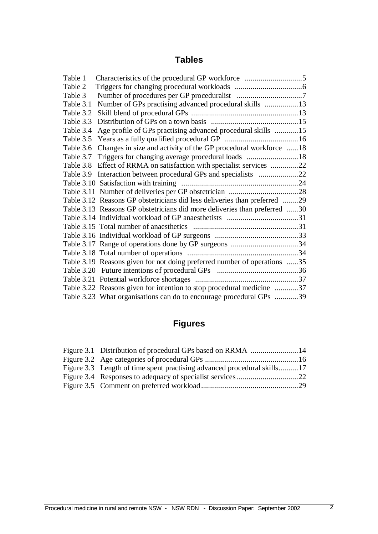## **Tables**

| Table 1   |                                                                           |  |
|-----------|---------------------------------------------------------------------------|--|
| Table 2   |                                                                           |  |
| Table 3   |                                                                           |  |
| Table 3.1 | Number of GPs practising advanced procedural skills 13                    |  |
| Table 3.2 |                                                                           |  |
| Table 3.3 |                                                                           |  |
| Table 3.4 | Age profile of GPs practising advanced procedural skills 15               |  |
| Table 3.5 |                                                                           |  |
| Table 3.6 | Changes in size and activity of the GP procedural workforce 18            |  |
| Table 3.7 |                                                                           |  |
|           | Table 3.8 Effect of RRMA on satisfaction with specialist services 22      |  |
|           |                                                                           |  |
|           |                                                                           |  |
|           |                                                                           |  |
|           | Table 3.12 Reasons GP obstetricians did less deliveries than preferred 29 |  |
|           | Table 3.13 Reasons GP obstetricians did more deliveries than preferred 30 |  |
|           |                                                                           |  |
|           |                                                                           |  |
|           |                                                                           |  |
|           |                                                                           |  |
|           |                                                                           |  |
|           | Table 3.19 Reasons given for not doing preferred number of operations 35  |  |
|           |                                                                           |  |
|           |                                                                           |  |
|           | Table 3.22 Reasons given for intention to stop procedural medicine 37     |  |
|           | Table 3.23 What organisations can do to encourage procedural GPs 39       |  |

## **Figures**

| Figure 3.3 Length of time spent practising advanced procedural skills17 |  |
|-------------------------------------------------------------------------|--|
|                                                                         |  |
|                                                                         |  |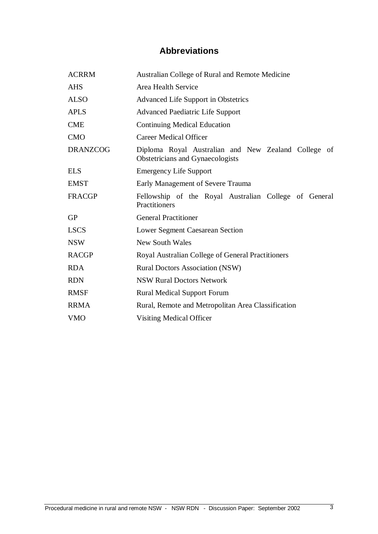## **Abbreviations**

| <b>ACRRM</b>    | Australian College of Rural and Remote Medicine                                         |  |  |  |  |  |  |
|-----------------|-----------------------------------------------------------------------------------------|--|--|--|--|--|--|
| <b>AHS</b>      | Area Health Service                                                                     |  |  |  |  |  |  |
| <b>ALSO</b>     | Advanced Life Support in Obstetrics                                                     |  |  |  |  |  |  |
| <b>APLS</b>     | <b>Advanced Paediatric Life Support</b>                                                 |  |  |  |  |  |  |
| <b>CME</b>      | <b>Continuing Medical Education</b>                                                     |  |  |  |  |  |  |
| <b>CMO</b>      | <b>Career Medical Officer</b>                                                           |  |  |  |  |  |  |
| <b>DRANZCOG</b> | Diploma Royal Australian and New Zealand College of<br>Obstetricians and Gynaecologists |  |  |  |  |  |  |
| <b>ELS</b>      | <b>Emergency Life Support</b>                                                           |  |  |  |  |  |  |
| <b>EMST</b>     | Early Management of Severe Trauma                                                       |  |  |  |  |  |  |
| <b>FRACGP</b>   | Fellowship of the Royal Australian College of General<br>Practitioners                  |  |  |  |  |  |  |
| <b>GP</b>       | <b>General Practitioner</b>                                                             |  |  |  |  |  |  |
| <b>LSCS</b>     | Lower Segment Caesarean Section                                                         |  |  |  |  |  |  |
| <b>NSW</b>      | <b>New South Wales</b>                                                                  |  |  |  |  |  |  |
| <b>RACGP</b>    | Royal Australian College of General Practitioners                                       |  |  |  |  |  |  |
| <b>RDA</b>      | <b>Rural Doctors Association (NSW)</b>                                                  |  |  |  |  |  |  |
| <b>RDN</b>      | <b>NSW Rural Doctors Network</b>                                                        |  |  |  |  |  |  |
| <b>RMSF</b>     | <b>Rural Medical Support Forum</b>                                                      |  |  |  |  |  |  |
| <b>RRMA</b>     | Rural, Remote and Metropolitan Area Classification                                      |  |  |  |  |  |  |
| <b>VMO</b>      | Visiting Medical Officer                                                                |  |  |  |  |  |  |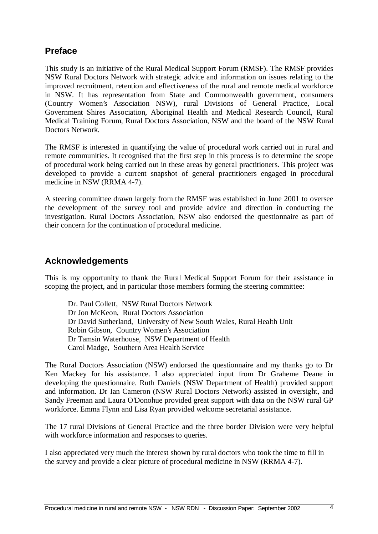## **Preface**

This study is an initiative of the Rural Medical Support Forum (RMSF). The RMSF provides NSW Rural Doctors Network with strategic advice and information on issues relating to the improved recruitment, retention and effectiveness of the rural and remote medical workforce in NSW. It has representation from State and Commonwealth government, consumers (Country Women's Association NSW), rural Divisions of General Practice, Local Government Shires Association, Aboriginal Health and Medical Research Council, Rural Medical Training Forum, Rural Doctors Association, NSW and the board of the NSW Rural Doctors Network.

The RMSF is interested in quantifying the value of procedural work carried out in rural and remote communities. It recognised that the first step in this process is to determine the scope of procedural work being carried out in these areas by general practitioners. This project was developed to provide a current snapshot of general practitioners engaged in procedural medicine in NSW (RRMA 4-7).

A steering committee drawn largely from the RMSF was established in June 2001 to oversee the development of the survey tool and provide advice and direction in conducting the investigation. Rural Doctors Association, NSW also endorsed the questionnaire as part of their concern for the continuation of procedural medicine.

## **Acknowledgements**

This is my opportunity to thank the Rural Medical Support Forum for their assistance in scoping the project, and in particular those members forming the steering committee:

Dr. Paul Collett, NSW Rural Doctors Network Dr Jon McKeon, Rural Doctors Association Dr David Sutherland, University of New South Wales, Rural Health Unit Robin Gibson, Country Women's Association Dr Tamsin Waterhouse, NSW Department of Health Carol Madge, Southern Area Health Service

The Rural Doctors Association (NSW) endorsed the questionnaire and my thanks go to Dr Ken Mackey for his assistance. I also appreciated input from Dr Graheme Deane in developing the questionnaire. Ruth Daniels (NSW Department of Health) provided support and information. Dr Ian Cameron (NSW Rural Doctors Network) assisted in oversight, and Sandy Freeman and Laura O'Donohue provided great support with data on the NSW rural GP workforce. Emma Flynn and Lisa Ryan provided welcome secretarial assistance.

The 17 rural Divisions of General Practice and the three border Division were very helpful with workforce information and responses to queries.

I also appreciated very much the interest shown by rural doctors who took the time to fill in the survey and provide a clear picture of procedural medicine in NSW (RRMA 4-7).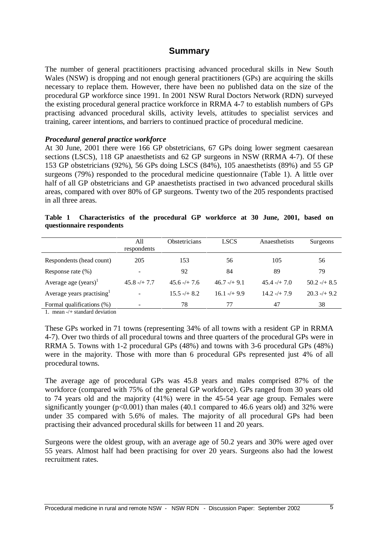### **Summary**

The number of general practitioners practising advanced procedural skills in New South Wales (NSW) is dropping and not enough general practitioners (GPs) are acquiring the skills necessary to replace them. However, there have been no published data on the size of the procedural GP workforce since 1991. In 2001 NSW Rural Doctors Network (RDN) surveyed the existing procedural general practice workforce in RRMA 4-7 to establish numbers of GPs practising advanced procedural skills, activity levels, attitudes to specialist services and training, career intentions, and barriers to continued practice of procedural medicine.

#### *Procedural general practice workforce*

At 30 June, 2001 there were 166 GP obstetricians, 67 GPs doing lower segment caesarean sections (LSCS), 118 GP anaesthetists and 62 GP surgeons in NSW (RRMA 4-7). Of these 153 GP obstetricians (92%), 56 GPs doing LSCS (84%), 105 anaesthetists (89%) and 55 GP surgeons (79%) responded to the procedural medicine questionnaire (Table 1). A little over half of all GP obstetricians and GP anaesthetists practised in two advanced procedural skills areas, compared with over 80% of GP surgeons. Twenty two of the 205 respondents practised in all three areas.

|  | Table 1 Characteristics of the procedural GP workforce at 30 June, 2001, based on |  |  |  |  |  |  |
|--|-----------------------------------------------------------------------------------|--|--|--|--|--|--|
|  | questionnaire respondents                                                         |  |  |  |  |  |  |

|                           | All<br>respondents | Obstetricians  | <b>LSCS</b>      | Anaesthetists   | Surgeons      |
|---------------------------|--------------------|----------------|------------------|-----------------|---------------|
| Respondents (head count)  | 205                | 153            | 56               | 105             | 56            |
| Response rate $(\%)$      |                    | 92             | 84               | 89              | 79            |
| Average age $(years)^1$   | $45.8 - + 7.7$     | $45.6 - + 7.6$ | $46.7 - 49.1$    | $45.4 - (+7.0)$ | $50.2 - 48.5$ |
| Average years practising  | -                  | $15.5 - + 8.2$ | $16.1 - (+ 9.9)$ | $14.2 - + 7.9$  | $20.3 - 49.2$ |
| Formal qualifications (%) |                    | 78             | 77               | 47              | 38            |

1. mean -/+ standard deviation

These GPs worked in 71 towns (representing 34% of all towns with a resident GP in RRMA 4-7). Over two thirds of all procedural towns and three quarters of the procedural GPs were in RRMA 5. Towns with 1-2 procedural GPs (48%) and towns with 3-6 procedural GPs (48%) were in the majority. Those with more than 6 procedural GPs represented just 4% of all procedural towns.

The average age of procedural GPs was 45.8 years and males comprised 87% of the workforce (compared with 75% of the general GP workforce). GPs ranged from 30 years old to 74 years old and the majority (41%) were in the 45-54 year age group. Females were significantly younger  $(p<0.001)$  than males (40.1 compared to 46.6 years old) and 32% were under 35 compared with 5.6% of males. The majority of all procedural GPs had been practising their advanced procedural skills for between 11 and 20 years.

Surgeons were the oldest group, with an average age of 50.2 years and 30% were aged over 55 years. Almost half had been practising for over 20 years. Surgeons also had the lowest recruitment rates.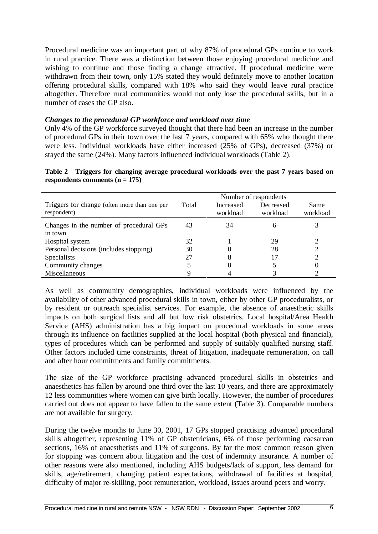Procedural medicine was an important part of why 87% of procedural GPs continue to work in rural practice. There was a distinction between those enjoying procedural medicine and wishing to continue and those finding a change attractive. If procedural medicine were withdrawn from their town, only 15% stated they would definitely move to another location offering procedural skills, compared with 18% who said they would leave rural practice altogether. Therefore rural communities would not only lose the procedural skills, but in a number of cases the GP also.

#### *Changes to the procedural GP workforce and workload over time*

Only 4% of the GP workforce surveyed thought that there had been an increase in the number of procedural GPs in their town over the last 7 years, compared with 65% who thought there were less. Individual workloads have either increased (25% of GPs), decreased (37%) or stayed the same (24%). Many factors influenced individual workloads (Table 2).

| Table 2 Triggers for changing average procedural workloads over the past 7 years based on |  |  |  |  |  |
|-------------------------------------------------------------------------------------------|--|--|--|--|--|
| respondents comments $(n = 175)$                                                          |  |  |  |  |  |

|                                                             | Number of respondents |                       |                       |                  |  |
|-------------------------------------------------------------|-----------------------|-----------------------|-----------------------|------------------|--|
| Triggers for change (often more than one per<br>respondent) | Total                 | Increased<br>workload | Decreased<br>workload | Same<br>workload |  |
| Changes in the number of procedural GPs<br>in town          | 43                    | 34                    |                       |                  |  |
| Hospital system                                             | 32                    |                       | 29                    |                  |  |
| Personal decisions (includes stopping)                      | 30                    |                       | 28                    |                  |  |
| <b>Specialists</b>                                          | 27                    | 8                     |                       |                  |  |
| Community changes                                           |                       |                       |                       |                  |  |
| Miscellaneous                                               |                       |                       |                       |                  |  |

As well as community demographics, individual workloads were influenced by the availability of other advanced procedural skills in town, either by other GP proceduralists, or by resident or outreach specialist services. For example, the absence of anaesthetic skills impacts on both surgical lists and all but low risk obstetrics. Local hospital/Area Health Service (AHS) administration has a big impact on procedural workloads in some areas through its influence on facilities supplied at the local hospital (both physical and financial), types of procedures which can be performed and supply of suitably qualified nursing staff. Other factors included time constraints, threat of litigation, inadequate remuneration, on call and after hour commitments and family commitments.

The size of the GP workforce practising advanced procedural skills in obstetrics and anaesthetics has fallen by around one third over the last 10 years, and there are approximately 12 less communities where women can give birth locally. However, the number of procedures carried out does not appear to have fallen to the same extent (Table 3). Comparable numbers are not available for surgery.

During the twelve months to June 30, 2001, 17 GPs stopped practising advanced procedural skills altogether, representing 11% of GP obstetricians, 6% of those performing caesarean sections, 16% of anaesthetists and 11% of surgeons. By far the most common reason given for stopping was concern about litigation and the cost of indemnity insurance. A number of other reasons were also mentioned, including AHS budgets/lack of support, less demand for skills, age/retirement, changing patient expectations, withdrawal of facilities at hospital, difficulty of major re-skilling, poor remuneration, workload, issues around peers and worry.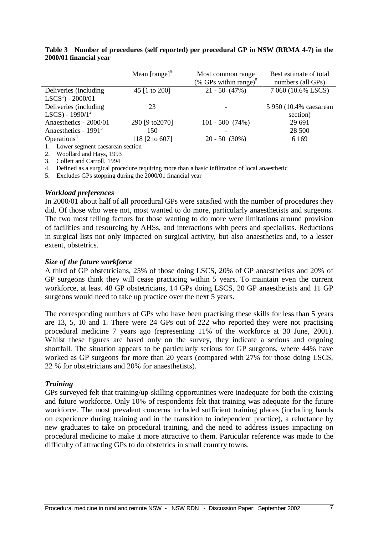|                         | Mean $[\text{range}]^5$ | Most common range<br>(% GPs within range) $5$ | Best estimate of total<br>numbers (all GPs) |
|-------------------------|-------------------------|-----------------------------------------------|---------------------------------------------|
|                         |                         |                                               |                                             |
| Deliveries (including)  | 45 [1 to 200]           | $21 - 50(47%)$                                | 7 060 (10.6% LSCS)                          |
| $LSCS1$ ) - 2000/01     |                         |                                               |                                             |
| Deliveries (including)  | 23                      |                                               | 5 950 (10.4% caesarean                      |
| LSCS) - $1990/1^2$      |                         |                                               | section)                                    |
| Anaesthetics - 2000/01  | 290 [9 to 2070]         | $101 - 500$ (74%)                             | 29 691                                      |
| Anaesthetics - $19913$  | 150                     |                                               | 28 500                                      |
| Operations <sup>4</sup> | 118 [2 to 607]          | $20 - 50(30\%)$                               | 6 1 6 9                                     |
|                         |                         |                                               |                                             |

**Table 3 Number of procedures (self reported) per procedural GP in NSW (RRMA 4-7) in the 2000/01 financial year**

1. Lower segment caesarean section

2. Woollard and Hays, 1993

3. Collett and Carroll, 1994

4. Defined as a surgical procedure requiring more than a basic infiltration of local anaesthetic

5. Excludes GPs stopping during the 2000/01 financial year

#### *Workload preferences*

In 2000/01 about half of all procedural GPs were satisfied with the number of procedures they did. Of those who were not, most wanted to do more, particularly anaesthetists and surgeons. The two most telling factors for those wanting to do more were limitations around provision of facilities and resourcing by AHSs, and interactions with peers and specialists. Reductions in surgical lists not only impacted on surgical activity, but also anaesthetics and, to a lesser extent, obstetrics.

#### *Size of the future workforce*

A third of GP obstetricians, 25% of those doing LSCS, 20% of GP anaesthetists and 20% of GP surgeons think they will cease practicing within 5 years. To maintain even the current workforce, at least 48 GP obstetricians, 14 GPs doing LSCS, 20 GP anaesthetists and 11 GP surgeons would need to take up practice over the next 5 years.

The corresponding numbers of GPs who have been practising these skills for less than 5 years are 13, 5, 10 and 1. There were 24 GPs out of 222 who reported they were not practising procedural medicine 7 years ago (representing 11% of the workforce at 30 June, 2001). Whilst these figures are based only on the survey, they indicate a serious and ongoing shortfall. The situation appears to be particularly serious for GP surgeons, where 44% have worked as GP surgeons for more than 20 years (compared with 27% for those doing LSCS, 22 % for obstetricians and 20% for anaesthetists).

#### *Training*

GPs surveyed felt that training/up-skilling opportunities were inadequate for both the existing and future workforce. Only 10% of respondents felt that training was adequate for the future workforce. The most prevalent concerns included sufficient training places (including hands on experience during training and in the transition to independent practice), a reluctance by new graduates to take on procedural training, and the need to address issues impacting on procedural medicine to make it more attractive to them. Particular reference was made to the difficulty of attracting GPs to do obstetrics in small country towns.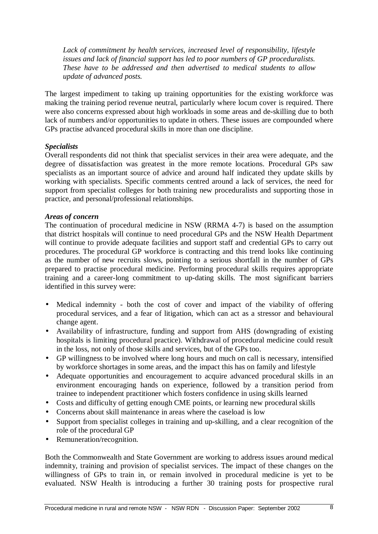*Lack of commitment by health services, increased level of responsibility, lifestyle issues and lack of financial support has led to poor numbers of GP proceduralists. These have to be addressed and then advertised to medical students to allow update of advanced posts.*

The largest impediment to taking up training opportunities for the existing workforce was making the training period revenue neutral, particularly where locum cover is required. There were also concerns expressed about high workloads in some areas and de-skilling due to both lack of numbers and/or opportunities to update in others. These issues are compounded where GPs practise advanced procedural skills in more than one discipline.

#### *Specialists*

Overall respondents did not think that specialist services in their area were adequate, and the degree of dissatisfaction was greatest in the more remote locations. Procedural GPs saw specialists as an important source of advice and around half indicated they update skills by working with specialists. Specific comments centred around a lack of services, the need for support from specialist colleges for both training new proceduralists and supporting those in practice, and personal/professional relationships.

#### *Areas of concern*

The continuation of procedural medicine in NSW (RRMA 4-7) is based on the assumption that district hospitals will continue to need procedural GPs and the NSW Health Department will continue to provide adequate facilities and support staff and credential GPs to carry out procedures. The procedural GP workforce is contracting and this trend looks like continuing as the number of new recruits slows, pointing to a serious shortfall in the number of GPs prepared to practise procedural medicine. Performing procedural skills requires appropriate training and a career-long commitment to up-dating skills. The most significant barriers identified in this survey were:

- Medical indemnity both the cost of cover and impact of the viability of offering procedural services, and a fear of litigation, which can act as a stressor and behavioural change agent.
- Availability of infrastructure, funding and support from AHS (downgrading of existing hospitals is limiting procedural practice). Withdrawal of procedural medicine could result in the loss, not only of those skills and services, but of the GPs too.
- GP willingness to be involved where long hours and much on call is necessary, intensified by workforce shortages in some areas, and the impact this has on family and lifestyle
- Adequate opportunities and encouragement to acquire advanced procedural skills in an environment encouraging hands on experience, followed by a transition period from trainee to independent practitioner which fosters confidence in using skills learned
- Costs and difficulty of getting enough CME points, or learning new procedural skills
- Concerns about skill maintenance in areas where the caseload is low
- Support from specialist colleges in training and up-skilling, and a clear recognition of the role of the procedural GP
- Remuneration/recognition.

Both the Commonwealth and State Government are working to address issues around medical indemnity, training and provision of specialist services. The impact of these changes on the willingness of GPs to train in, or remain involved in procedural medicine is yet to be evaluated. NSW Health is introducing a further 30 training posts for prospective rural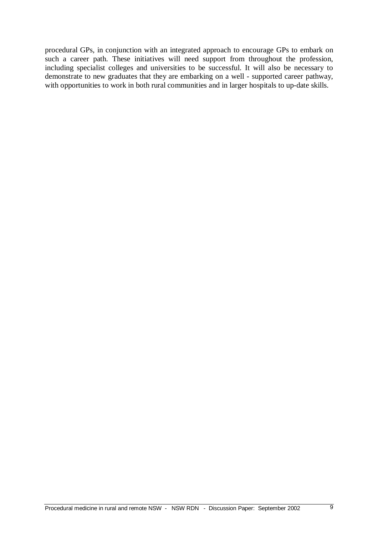procedural GPs, in conjunction with an integrated approach to encourage GPs to embark on such a career path. These initiatives will need support from throughout the profession, including specialist colleges and universities to be successful. It will also be necessary to demonstrate to new graduates that they are embarking on a well - supported career pathway, with opportunities to work in both rural communities and in larger hospitals to up-date skills.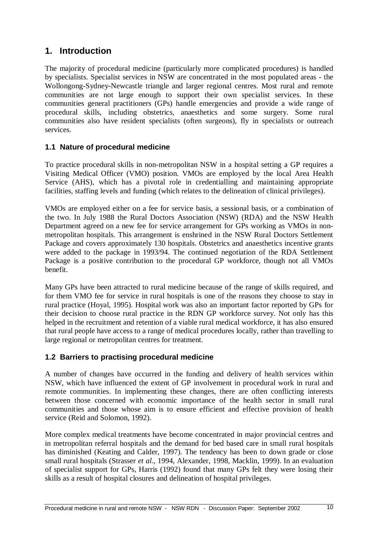## **1. Introduction**

The majority of procedural medicine (particularly more complicated procedures) is handled by specialists. Specialist services in NSW are concentrated in the most populated areas - the Wollongong-Sydney-Newcastle triangle and larger regional centres. Most rural and remote communities are not large enough to support their own specialist services. In these communities general practitioners (GPs) handle emergencies and provide a wide range of procedural skills, including obstetrics, anaesthetics and some surgery. Some rural communities also have resident specialists (often surgeons), fly in specialists or outreach services.

### **1.1 Nature of procedural medicine**

To practice procedural skills in non-metropolitan NSW in a hospital setting a GP requires a Visiting Medical Officer (VMO) position. VMOs are employed by the local Area Health Service (AHS), which has a pivotal role in credentialling and maintaining appropriate facilities, staffing levels and funding (which relates to the delineation of clinical privileges).

VMOs are employed either on a fee for service basis, a sessional basis, or a combination of the two. In July 1988 the Rural Doctors Association (NSW) (RDA) and the NSW Health Department agreed on a new fee for service arrangement for GPs working as VMOs in nonmetropolitan hospitals. This arrangement is enshrined in the NSW Rural Doctors Settlement Package and covers approximately 130 hospitals. Obstetrics and anaesthetics incentive grants were added to the package in 1993/94. The continued negotiation of the RDA Settlement Package is a positive contribution to the procedural GP workforce, though not all VMOs benefit.

Many GPs have been attracted to rural medicine because of the range of skills required, and for them VMO fee for service in rural hospitals is one of the reasons they choose to stay in rural practice (Hoyal, 1995). Hospital work was also an important factor reported by GPs for their decision to choose rural practice in the RDN GP workforce survey. Not only has this helped in the recruitment and retention of a viable rural medical workforce, it has also ensured that rural people have access to a range of medical procedures locally, rather than travelling to large regional or metropolitan centres for treatment.

### **1.2 Barriers to practising procedural medicine**

A number of changes have occurred in the funding and delivery of health services within NSW, which have influenced the extent of GP involvement in procedural work in rural and remote communities. In implementing these changes, there are often conflicting interests between those concerned with economic importance of the health sector in small rural communities and those whose aim is to ensure efficient and effective provision of health service (Reid and Solomon, 1992).

More complex medical treatments have become concentrated in major provincial centres and in metropolitan referral hospitals and the demand for bed based care in small rural hospitals has diminished (Keating and Calder, 1997). The tendency has been to down grade or close small rural hospitals (Strasser *et al*., 1994, Alexander, 1998, Macklin, 1999). In an evaluation of specialist support for GPs, Harris (1992) found that many GPs felt they were losing their skills as a result of hospital closures and delineation of hospital privileges.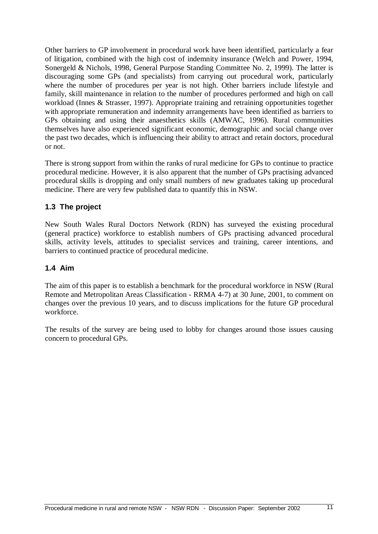Other barriers to GP involvement in procedural work have been identified, particularly a fear of litigation, combined with the high cost of indemnity insurance (Welch and Power, 1994, Sonergeld & Nichols, 1998, General Purpose Standing Committee No. 2, 1999). The latter is discouraging some GPs (and specialists) from carrying out procedural work, particularly where the number of procedures per year is not high. Other barriers include lifestyle and family, skill maintenance in relation to the number of procedures performed and high on call workload (Innes & Strasser, 1997). Appropriate training and retraining opportunities together with appropriate remuneration and indemnity arrangements have been identified as barriers to GPs obtaining and using their anaesthetics skills (AMWAC, 1996). Rural communities themselves have also experienced significant economic, demographic and social change over the past two decades, which is influencing their ability to attract and retain doctors, procedural or not.

There is strong support from within the ranks of rural medicine for GPs to continue to practice procedural medicine. However, it is also apparent that the number of GPs practising advanced procedural skills is dropping and only small numbers of new graduates taking up procedural medicine. There are very few published data to quantify this in NSW.

### **1.3 The project**

New South Wales Rural Doctors Network (RDN) has surveyed the existing procedural (general practice) workforce to establish numbers of GPs practising advanced procedural skills, activity levels, attitudes to specialist services and training, career intentions, and barriers to continued practice of procedural medicine.

#### **1.4 Aim**

The aim of this paper is to establish a benchmark for the procedural workforce in NSW (Rural Remote and Metropolitan Areas Classification - RRMA 4-7) at 30 June, 2001, to comment on changes over the previous 10 years, and to discuss implications for the future GP procedural workforce.

The results of the survey are being used to lobby for changes around those issues causing concern to procedural GPs.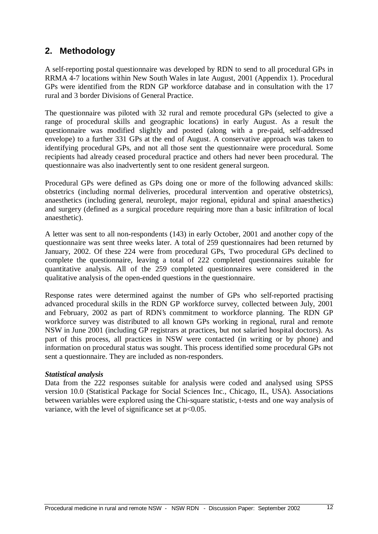## **2. Methodology**

A self-reporting postal questionnaire was developed by RDN to send to all procedural GPs in RRMA 4-7 locations within New South Wales in late August, 2001 (Appendix 1). Procedural GPs were identified from the RDN GP workforce database and in consultation with the 17 rural and 3 border Divisions of General Practice.

The questionnaire was piloted with 32 rural and remote procedural GPs (selected to give a range of procedural skills and geographic locations) in early August. As a result the questionnaire was modified slightly and posted (along with a pre-paid, self-addressed envelope) to a further 331 GPs at the end of August. A conservative approach was taken to identifying procedural GPs, and not all those sent the questionnaire were procedural. Some recipients had already ceased procedural practice and others had never been procedural. The questionnaire was also inadvertently sent to one resident general surgeon.

Procedural GPs were defined as GPs doing one or more of the following advanced skills: obstetrics (including normal deliveries, procedural intervention and operative obstetrics), anaesthetics (including general, neurolept, major regional, epidural and spinal anaesthetics) and surgery (defined as a surgical procedure requiring more than a basic infiltration of local anaesthetic).

A letter was sent to all non-respondents (143) in early October, 2001 and another copy of the questionnaire was sent three weeks later. A total of 259 questionnaires had been returned by January, 2002. Of these 224 were from procedural GPs, Two procedural GPs declined to complete the questionnaire, leaving a total of 222 completed questionnaires suitable for quantitative analysis. All of the 259 completed questionnaires were considered in the qualitative analysis of the open-ended questions in the questionnaire.

Response rates were determined against the number of GPs who self-reported practising advanced procedural skills in the RDN GP workforce survey, collected between July, 2001 and February, 2002 as part of RDN's commitment to workforce planning. The RDN GP workforce survey was distributed to all known GPs working in regional, rural and remote NSW in June 2001 (including GP registrars at practices, but not salaried hospital doctors). As part of this process, all practices in NSW were contacted (in writing or by phone) and information on procedural status was sought. This process identified some procedural GPs not sent a questionnaire. They are included as non-responders.

#### *Statistical analysis*

Data from the 222 responses suitable for analysis were coded and analysed using SPSS version 10.0 (Statistical Package for Social Sciences Inc., Chicago, IL, USA). Associations between variables were explored using the Chi-square statistic, t-tests and one way analysis of variance, with the level of significance set at  $p<0.05$ .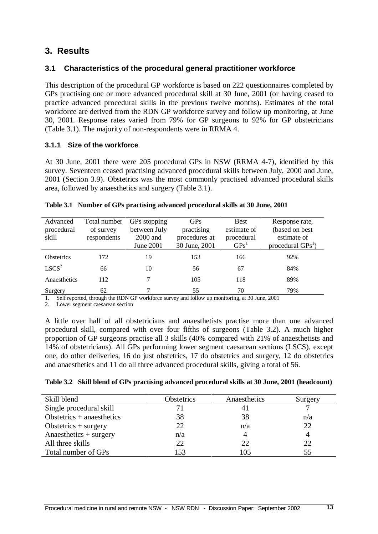## **3. Results**

#### **3.1 Characteristics of the procedural general practitioner workforce**

This description of the procedural GP workforce is based on 222 questionnaires completed by GPs practising one or more advanced procedural skill at 30 June, 2001 (or having ceased to practice advanced procedural skills in the previous twelve months). Estimates of the total workforce are derived from the RDN GP workforce survey and follow up monitoring, at June 30, 2001. Response rates varied from 79% for GP surgeons to 92% for GP obstetricians (Table 3.1). The majority of non-respondents were in RRMA 4.

#### **3.1.1 Size of the workforce**

At 30 June, 2001 there were 205 procedural GPs in NSW (RRMA 4-7), identified by this survey. Seventeen ceased practising advanced procedural skills between July, 2000 and June, 2001 (Section 3.9). Obstetrics was the most commonly practised advanced procedural skills area, followed by anaesthetics and surgery (Table 3.1).

| Advanced<br>procedural<br>skill | Total number<br>of survey<br>respondents | GPs stopping<br>between July<br>2000 and<br>June 2001 | <b>GPs</b><br>practising<br>procedures at<br>30 June, 2001 | <b>Best</b><br>estimate of<br>procedural<br>GPs <sup>T</sup> | Response rate,<br>(based on best)<br>estimate of<br>procedural $GPs^1$ ) |
|---------------------------------|------------------------------------------|-------------------------------------------------------|------------------------------------------------------------|--------------------------------------------------------------|--------------------------------------------------------------------------|
| <b>Obstetrics</b>               | 172                                      | 19                                                    | 153                                                        | 166                                                          | 92%                                                                      |
| LSCS <sup>2</sup>               | 66                                       | 10                                                    | 56                                                         | 67                                                           | 84%                                                                      |
| Anaesthetics                    | 112                                      |                                                       | 105                                                        | 118                                                          | 89%                                                                      |
| Surgery                         | 62                                       |                                                       | 55                                                         | 70                                                           | 79%                                                                      |

#### **Table 3.1 Number of GPs practising advanced procedural skills at 30 June, 2001**

1. Self reported, through the RDN GP workforce survey and follow up monitoring, at 30 June, 2001

2. Lower segment caesarean section

A little over half of all obstetricians and anaesthetists practise more than one advanced procedural skill, compared with over four fifths of surgeons (Table 3.2). A much higher proportion of GP surgeons practise all 3 skills (40% compared with 21% of anaesthetists and 14% of obstetricians). All GPs performing lower segment caesarean sections (LSCS), except one, do other deliveries, 16 do just obstetrics, 17 do obstetrics and surgery, 12 do obstetrics and anaesthetics and 11 do all three advanced procedural skills, giving a total of 56.

|  | Table 3.2 Skill blend of GPs practising advanced procedural skills at 30 June, 2001 (headcount) |  |  |
|--|-------------------------------------------------------------------------------------------------|--|--|
|--|-------------------------------------------------------------------------------------------------|--|--|

| Skill blend                 | Obstetrics | Anaesthetics | Surgery |
|-----------------------------|------------|--------------|---------|
| Single procedural skill     |            |              |         |
| Obstetrics $+$ anaesthetics | 38         | 38           | n/a     |
| Obstetrics $+$ surgery      | 22         | n/a          | 22      |
| Anaesthetics $+$ surgery    | n/a        |              |         |
| All three skills            | 22         | 22           | 22      |
| Total number of GPs         | 153        | 105          | 55      |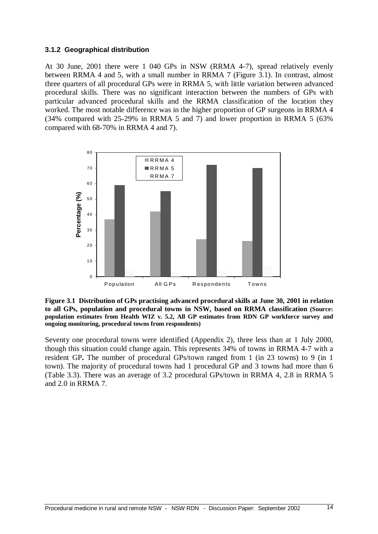#### **3.1.2 Geographical distribution**

At 30 June, 2001 there were 1 040 GPs in NSW (RRMA 4-7), spread relatively evenly between RRMA 4 and 5, with a small number in RRMA 7 (Figure 3.1). In contrast, almost three quarters of all procedural GPs were in RRMA 5, with little variation between advanced procedural skills. There was no significant interaction between the numbers of GPs with particular advanced procedural skills and the RRMA classification of the location they worked. The most notable difference was in the higher proportion of GP surgeons in RRMA 4 (34% compared with 25-29% in RRMA 5 and 7) and lower proportion in RRMA 5 (63% compared with 68-70% in RRMA 4 and 7).



**Figure 3.1 Distribution of GPs practising advanced procedural skills at June 30, 2001 in relation to all GPs, population and procedural towns in NSW, based on RRMA classification (Source: population estimates from Health WIZ v. 5.2, All GP estimates from RDN GP workforce survey and ongoing monitoring, procedural towns from respondents)**

Seventy one procedural towns were identified (Appendix 2), three less than at 1 July 2000, though this situation could change again. This represents 34% of towns in RRMA 4-7 with a resident GP**.** The number of procedural GPs/town ranged from 1 (in 23 towns) to 9 (in 1 town). The majority of procedural towns had 1 procedural GP and 3 towns had more than 6 (Table 3.3). There was an average of 3.2 procedural GPs/town in RRMA 4, 2.8 in RRMA 5 and 2.0 in RRMA 7.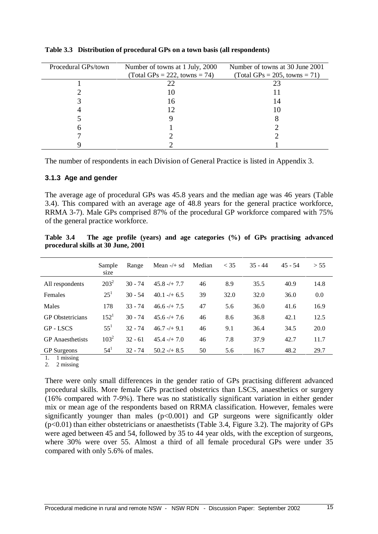| Procedural GPs/town | Number of towns at 1 July, 2000<br>$Total GPs = 222, towns = 74)$ | Number of towns at 30 June 2001<br>$(Total GPs = 205, towns = 71)$ |
|---------------------|-------------------------------------------------------------------|--------------------------------------------------------------------|
|                     |                                                                   |                                                                    |
|                     | 22                                                                |                                                                    |
|                     | IО                                                                |                                                                    |
|                     | 16                                                                | 14                                                                 |
|                     |                                                                   |                                                                    |
|                     |                                                                   |                                                                    |
|                     |                                                                   |                                                                    |
|                     |                                                                   |                                                                    |
|                     |                                                                   |                                                                    |

**Table 3.3 Distribution of procedural GPs on a town basis (all respondents)**

The number of respondents in each Division of General Practice is listed in Appendix 3.

#### **3.1.3 Age and gender**

The average age of procedural GPs was 45.8 years and the median age was 46 years (Table 3.4). This compared with an average age of 48.8 years for the general practice workforce, RRMA 3-7). Male GPs comprised 87% of the procedural GP workforce compared with 75% of the general practice workforce.

|                         | Sample<br>size | Range     | Mean $-/+$ sd    | Median | $<$ 35 | $35 - 44$ | $45 - 54$ | > 55 |
|-------------------------|----------------|-----------|------------------|--------|--------|-----------|-----------|------|
| All respondents         | $203^2$        | $30 - 74$ | $45.8 - + 7.7$   | 46     | 8.9    | 35.5      | 40.9      | 14.8 |
| Females                 | $25^{1}$       | $30 - 54$ | $40.1 - + 6.5$   | 39     | 32.0   | 32.0      | 36.0      | 0.0  |
| Males                   | 178            | $33 - 74$ | $46.6 - + 7.5$   | 47     | 5.6    | 36.0      | 41.6      | 16.9 |
| <b>GP</b> Obstetricians | $152^1$        | $30 - 74$ | $45.6 - + 7.6$   | 46     | 8.6    | 36.8      | 42.1      | 12.5 |
| <b>GP-LSCS</b>          | $55^{1}$       | $32 - 74$ | $46.7 - (+ 9.1)$ | 46     | 9.1    | 36.4      | 34.5      | 20.0 |
| <b>GP</b> Anaesthetists | $103^2$        | $32 - 61$ | $45.4 - (+7.0)$  | 46     | 7.8    | 37.9      | 42.7      | 11.7 |
| <b>GP</b> Surgeons      | $54^1$         | $32 - 74$ | $50.2 - + 8.5$   | 50     | 5.6    | 16.7      | 48.2      | 29.7 |

**Table 3.4 The age profile (years) and age categories (%) of GPs practising advanced procedural skills at 30 June, 2001**

1. 1 missing

2. 2 missing

There were only small differences in the gender ratio of GPs practising different advanced procedural skills. More female GPs practised obstetrics than LSCS, anaesthetics or surgery (16% compared with 7-9%). There was no statistically significant variation in either gender mix or mean age of the respondents based on RRMA classification. However, females were significantly younger than males  $(p<0.001)$  and GP surgeons were significantly older (p<0.01) than either obstetricians or anaesthetists (Table 3.4, Figure 3.2). The majority of GPs were aged between 45 and 54, followed by 35 to 44 year olds, with the exception of surgeons, where 30% were over 55. Almost a third of all female procedural GPs were under 35 compared with only 5.6% of males.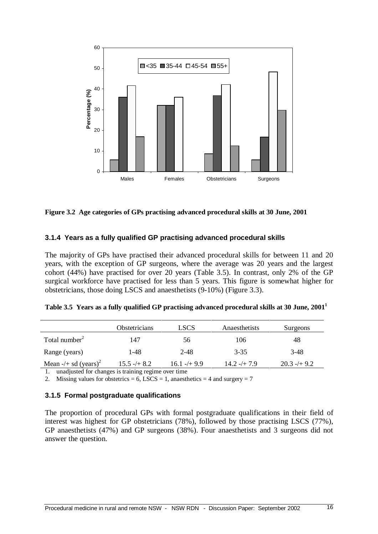

| Figure 3.2 Age categories of GPs practising advanced procedural skills at 30 June, 2001 |  |  |  |  |
|-----------------------------------------------------------------------------------------|--|--|--|--|
|                                                                                         |  |  |  |  |

#### **3.1.4 Years as a fully qualified GP practising advanced procedural skills**

The majority of GPs have practised their advanced procedural skills for between 11 and 20 years, with the exception of GP surgeons, where the average was 20 years and the largest cohort (44%) have practised for over 20 years (Table 3.5). In contrast, only 2% of the GP surgical workforce have practised for less than 5 years. This figure is somewhat higher for obstetricians, those doing LSCS and anaesthetists (9-10%) (Figure 3.3).

|                                    | <b>Obstetricians</b> | <b>LSCS</b>    | Anaesthetists  | Surgeons      |
|------------------------------------|----------------------|----------------|----------------|---------------|
| Total number $2$                   | 147                  | 56             | 106            | 48            |
| Range (years)                      | 1-48                 | $2 - 48$       | $3 - 35$       | $3-48$        |
| Mean $-/-$ sd (years) <sup>2</sup> | $15.5 - + 8.2$       | $16.1 - + 9.9$ | $14.2 - + 7.9$ | $20.3 - 49.2$ |
|                                    |                      |                |                |               |

|  |  |  | Table 3.5 Years as a fully qualified GP practising advanced procedural skills at 30 June, 2001 <sup>1</sup> |  |  |
|--|--|--|-------------------------------------------------------------------------------------------------------------|--|--|
|--|--|--|-------------------------------------------------------------------------------------------------------------|--|--|

1. unadjusted for changes is training regime over time

2. Missing values for obstetrics = 6, LSCS = 1, anaesthetics = 4 and surgery = 7

#### **3.1.5 Formal postgraduate qualifications**

The proportion of procedural GPs with formal postgraduate qualifications in their field of interest was highest for GP obstetricians (78%), followed by those practising LSCS (77%), GP anaesthetists (47%) and GP surgeons (38%). Four anaesthetists and 3 surgeons did not answer the question.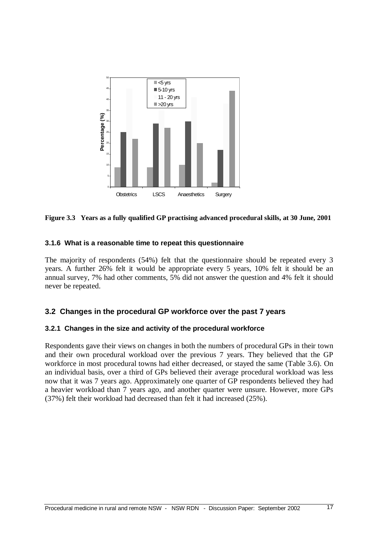

**Figure 3.3 Years as a fully qualified GP practising advanced procedural skills, at 30 June, 2001**

#### **3.1.6 What is a reasonable time to repeat this questionnaire**

The majority of respondents (54%) felt that the questionnaire should be repeated every 3 years. A further 26% felt it would be appropriate every 5 years, 10% felt it should be an annual survey, 7% had other comments, 5% did not answer the question and 4% felt it should never be repeated.

#### **3.2 Changes in the procedural GP workforce over the past 7 years**

#### **3.2.1 Changes in the size and activity of the procedural workforce**

Respondents gave their views on changes in both the numbers of procedural GPs in their town and their own procedural workload over the previous 7 years. They believed that the GP workforce in most procedural towns had either decreased, or stayed the same (Table 3.6). On an individual basis, over a third of GPs believed their average procedural workload was less now that it was 7 years ago. Approximately one quarter of GP respondents believed they had a heavier workload than 7 years ago, and another quarter were unsure. However, more GPs (37%) felt their workload had decreased than felt it had increased (25%).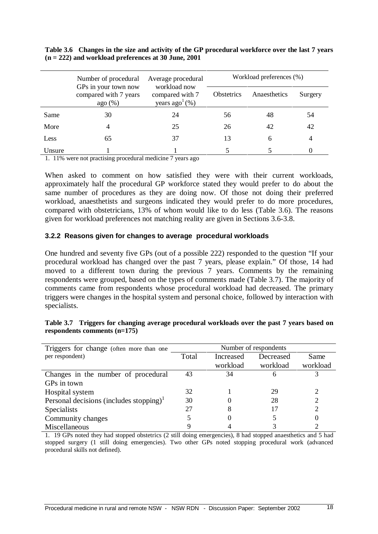|        | Number of procedural                                    | Average procedural                                 | Workload preferences (%) |              |         |
|--------|---------------------------------------------------------|----------------------------------------------------|--------------------------|--------------|---------|
|        | GPs in your town now<br>compared with 7 years<br>ago(%) | workload now<br>compared with 7<br>years $ago1(%)$ | <b>Obstetrics</b>        | Anaesthetics | Surgery |
| Same   | 30                                                      | 24                                                 | 56                       | 48           | 54      |
| More   |                                                         | 25                                                 | 26                       | 42           | 42      |
| Less   | 65                                                      | 37                                                 | 13                       | 6            | 4       |
| Unsure |                                                         |                                                    |                          |              |         |

**Table 3.6 Changes in the size and activity of the GP procedural workforce over the last 7 years (n = 222) and workload preferences at 30 June, 2001**

1. 11% were not practising procedural medicine 7 years ago

When asked to comment on how satisfied they were with their current workloads, approximately half the procedural GP workforce stated they would prefer to do about the same number of procedures as they are doing now. Of those not doing their preferred workload, anaesthetists and surgeons indicated they would prefer to do more procedures, compared with obstetricians, 13% of whom would like to do less (Table 3.6). The reasons given for workload preferences not matching reality are given in Sections 3.6-3.8.

#### **3.2.2 Reasons given for changes to average procedural workloads**

One hundred and seventy five GPs (out of a possible 222) responded to the question "If your procedural workload has changed over the past 7 years, please explain." Of those, 14 had moved to a different town during the previous 7 years. Comments by the remaining respondents were grouped, based on the types of comments made (Table 3.7). The majority of comments came from respondents whose procedural workload had decreased. The primary triggers were changes in the hospital system and personal choice, followed by interaction with specialists.

| Triggers for change (often more than one                             | Number of respondents |           |              |          |
|----------------------------------------------------------------------|-----------------------|-----------|--------------|----------|
| per respondent)                                                      | Total                 | Increased | Decreased    | Same     |
|                                                                      |                       | workload  | workload     | workload |
| Changes in the number of procedural                                  | 43                    | 34        | <sub>6</sub> |          |
| GPs in town                                                          |                       |           |              |          |
| Hospital system                                                      | 32                    |           | 29           |          |
| Personal decisions (includes stopping) <sup><math>\perp</math></sup> | 30                    |           | 28           | 2        |
| <b>Specialists</b>                                                   | 27                    |           |              | 2        |
| Community changes                                                    |                       |           |              | 0        |
| Miscellaneous                                                        |                       |           |              |          |

| Table 3.7 Triggers for changing average procedural workloads over the past 7 years based on |  |  |
|---------------------------------------------------------------------------------------------|--|--|
| respondents comments $(n=175)$                                                              |  |  |

1. 19 GPs noted they had stopped obstetrics (2 still doing emergencies), 8 had stopped anaesthetics and 5 had stopped surgery (1 still doing emergencies). Two other GPs noted stopping procedural work (advanced procedural skills not defined).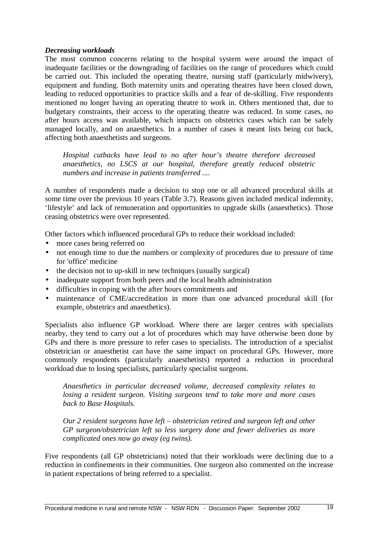#### *Decreasing workloads*

The most common concerns relating to the hospital system were around the impact of inadequate facilities or the downgrading of facilities on the range of procedures which could be carried out. This included the operating theatre, nursing staff (particularly midwivery), equipment and funding. Both maternity units and operating theatres have been closed down, leading to reduced opportunities to practice skills and a fear of de-skilling. Five respondents mentioned no longer having an operating theatre to work in. Others mentioned that, due to budgetary constraints, their access to the operating theatre was reduced. In some cases, no after hours access was available, which impacts on obstetrics cases which can be safely managed locally, and on anaesthetics. In a number of cases it meant lists being cut back, affecting both anaesthetists and surgeons.

*Hospital cutbacks have lead to no after hour's theatre therefore decreased anaesthetics, no LSCS at our hospital, therefore greatly reduced obstetric numbers and increase in patients transferred ....*

A number of respondents made a decision to stop one or all advanced procedural skills at some time over the previous 10 years (Table 3.7). Reasons given included medical indemnity, 'lifestyle' and lack of remuneration and opportunities to upgrade skills (anaesthetics). Those ceasing obstetrics were over represented.

Other factors which influenced procedural GPs to reduce their workload included:

- more cases being referred on
- not enough time to due the numbers or complexity of procedures due to pressure of time for 'office'medicine
- the decision not to up-skill in new techniques (usually surgical)
- inadequate support from both peers and the local health administration
- difficulties in coping with the after hours commitments and
- maintenance of CME/accreditation in more than one advanced procedural skill (for example, obstetrics and anaesthetics).

Specialists also influence GP workload. Where there are larger centres with specialists nearby, they tend to carry out a lot of procedures which may have otherwise been done by GPs and there is more pressure to refer cases to specialists. The introduction of a specialist obstetrician or anaesthetist can have the same impact on procedural GPs. However, more commonly respondents (particularly anaesthetists) reported a reduction in procedural workload due to losing specialists, particularly specialist surgeons.

*Anaesthetics in particular decreased volume, decreased complexity relates to losing a resident surgeon. Visiting surgeons tend to take more and more cases back to Base Hospitals.*

*Our 2 resident surgeons have left – obstetrician retired and surgeon left and other GP surgeon/obstetrician left so less surgery done and fewer deliveries as more complicated ones now go away (eg twins).*

Five respondents (all GP obstetricians) noted that their workloads were declining due to a reduction in confinements in their communities. One surgeon also commented on the increase in patient expectations of being referred to a specialist.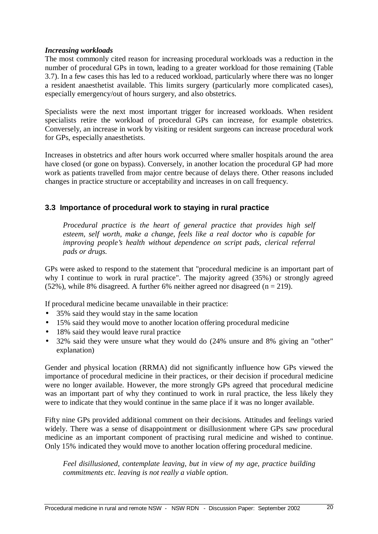#### *Increasing workloads*

The most commonly cited reason for increasing procedural workloads was a reduction in the number of procedural GPs in town, leading to a greater workload for those remaining (Table 3.7). In a few cases this has led to a reduced workload, particularly where there was no longer a resident anaesthetist available. This limits surgery (particularly more complicated cases), especially emergency/out of hours surgery, and also obstetrics.

Specialists were the next most important trigger for increased workloads. When resident specialists retire the workload of procedural GPs can increase, for example obstetrics. Conversely, an increase in work by visiting or resident surgeons can increase procedural work for GPs, especially anaesthetists.

Increases in obstetrics and after hours work occurred where smaller hospitals around the area have closed (or gone on bypass). Conversely, in another location the procedural GP had more work as patients travelled from major centre because of delays there. Other reasons included changes in practice structure or acceptability and increases in on call frequency.

#### **3.3 Importance of procedural work to staying in rural practice**

*Procedural practice is the heart of general practice that provides high self esteem, self worth, make a change, feels like a real doctor who is capable for improving people's health without dependence on script pads, clerical referral pads or drugs.*

GPs were asked to respond to the statement that "procedural medicine is an important part of why I continue to work in rural practice". The majority agreed (35%) or strongly agreed  $(52\%)$ , while 8% disagreed. A further 6% neither agreed nor disagreed (n = 219).

If procedural medicine became unavailable in their practice:

- 35% said they would stay in the same location
- 15% said they would move to another location offering procedural medicine
- 18% said they would leave rural practice
- 32% said they were unsure what they would do (24% unsure and 8% giving an "other" explanation)

Gender and physical location (RRMA) did not significantly influence how GPs viewed the importance of procedural medicine in their practices, or their decision if procedural medicine were no longer available. However, the more strongly GPs agreed that procedural medicine was an important part of why they continued to work in rural practice, the less likely they were to indicate that they would continue in the same place if it was no longer available.

Fifty nine GPs provided additional comment on their decisions. Attitudes and feelings varied widely. There was a sense of disappointment or disillusionment where GPs saw procedural medicine as an important component of practising rural medicine and wished to continue. Only 15% indicated they would move to another location offering procedural medicine.

*Feel disillusioned, contemplate leaving, but in view of my age, practice building commitments etc. leaving is not really a viable option.*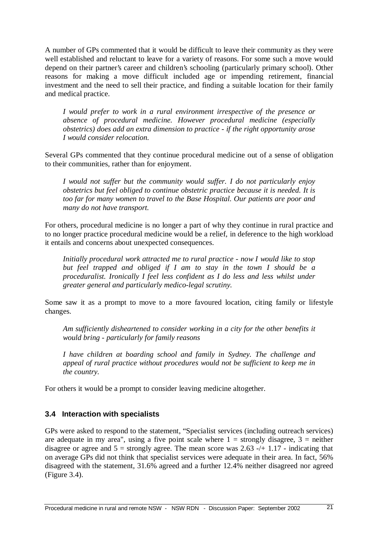A number of GPs commented that it would be difficult to leave their community as they were well established and reluctant to leave for a variety of reasons. For some such a move would depend on their partner's career and children's schooling (particularly primary school). Other reasons for making a move difficult included age or impending retirement, financial investment and the need to sell their practice, and finding a suitable location for their family and medical practice.

*I would prefer to work in a rural environment irrespective of the presence or absence of procedural medicine. However procedural medicine (especially obstetrics) does add an extra dimension to practice - if the right opportunity arose I would consider relocation.*

Several GPs commented that they continue procedural medicine out of a sense of obligation to their communities, rather than for enjoyment.

*I would not suffer but the community would suffer. I do not particularly enjoy obstetrics but feel obliged to continue obstetric practice because it is needed. It is too far for many women to travel to the Base Hospital. Our patients are poor and many do not have transport.*

For others, procedural medicine is no longer a part of why they continue in rural practice and to no longer practice procedural medicine would be a relief, in deference to the high workload it entails and concerns about unexpected consequences.

*Initially procedural work attracted me to rural practice - now I would like to stop but feel trapped and obliged if I am to stay in the town I should be a proceduralist. Ironically I feel less confident as I do less and less whilst under greater general and particularly medico-legal scrutiny.*

Some saw it as a prompt to move to a more favoured location, citing family or lifestyle changes.

*Am sufficiently disheartened to consider working in a city for the other benefits it would bring - particularly for family reasons*

*I have children at boarding school and family in Sydney. The challenge and appeal of rural practice without procedures would not be sufficient to keep me in the country.*

For others it would be a prompt to consider leaving medicine altogether.

#### **3.4 Interaction with specialists**

GPs were asked to respond to the statement, "Specialist services (including outreach services) are adequate in my area", using a five point scale where  $1 =$  strongly disagree,  $3 =$  neither disagree or agree and  $5 =$  strongly agree. The mean score was 2.63 -/+ 1.17 - indicating that on average GPs did not think that specialist services were adequate in their area. In fact, 56% disagreed with the statement, 31.6% agreed and a further 12.4% neither disagreed nor agreed (Figure 3.4).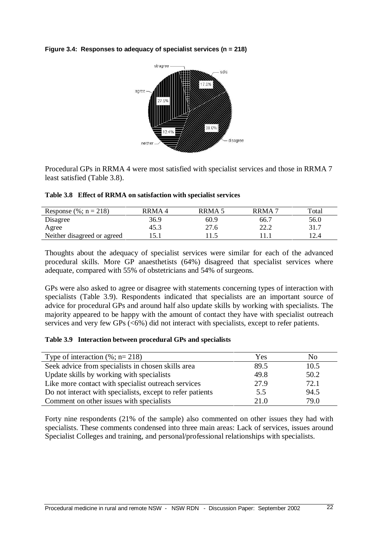



Procedural GPs in RRMA 4 were most satisfied with specialist services and those in RRMA 7 least satisfied (Table 3.8).

|  | Table 3.8 Effect of RRMA on satisfaction with specialist services |  |  |  |
|--|-------------------------------------------------------------------|--|--|--|
|--|-------------------------------------------------------------------|--|--|--|

| Response (%; $n = 218$ )    | RRMA 4 | RRMA 5 | RRMA <sup>'</sup> | Total |
|-----------------------------|--------|--------|-------------------|-------|
| Disagree                    | 36.9   | 60.9   | 66.7              | 56.0  |
| Agree                       | 45.3   | 27.6   | 22.2              | 31.7  |
| Neither disagreed or agreed |        |        |                   |       |

Thoughts about the adequacy of specialist services were similar for each of the advanced procedural skills. More GP anaesthetists (64%) disagreed that specialist services where adequate, compared with 55% of obstetricians and 54% of surgeons.

GPs were also asked to agree or disagree with statements concerning types of interaction with specialists (Table 3.9). Respondents indicated that specialists are an important source of advice for procedural GPs and around half also update skills by working with specialists. The majority appeared to be happy with the amount of contact they have with specialist outreach services and very few GPs (<6%) did not interact with specialists, except to refer patients.

#### **Table 3.9 Interaction between procedural GPs and specialists**

| Type of interaction $(\%; n=218)$                          | Yes  | No   |
|------------------------------------------------------------|------|------|
| Seek advice from specialists in chosen skills area         | 89.5 | 10.5 |
| Update skills by working with specialists                  | 49.8 | 50.2 |
| Like more contact with specialist outreach services        | 27.9 | 72.1 |
| Do not interact with specialists, except to refer patients | 5.5  | 94.5 |
| Comment on other issues with specialists                   | 21.0 | 79.0 |

Forty nine respondents (21% of the sample) also commented on other issues they had with specialists. These comments condensed into three main areas: Lack of services, issues around Specialist Colleges and training, and personal/professional relationships with specialists.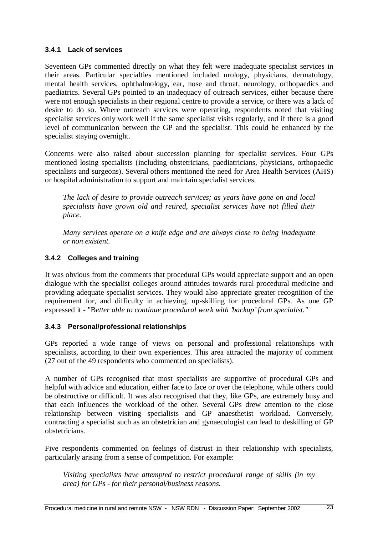#### **3.4.1 Lack of services**

Seventeen GPs commented directly on what they felt were inadequate specialist services in their areas. Particular specialties mentioned included urology, physicians, dermatology, mental health services, ophthalmology, ear, nose and throat, neurology, orthopaedics and paediatrics. Several GPs pointed to an inadequacy of outreach services, either because there were not enough specialists in their regional centre to provide a service, or there was a lack of desire to do so. Where outreach services were operating, respondents noted that visiting specialist services only work well if the same specialist visits regularly, and if there is a good level of communication between the GP and the specialist. This could be enhanced by the specialist staying overnight.

Concerns were also raised about succession planning for specialist services. Four GPs mentioned losing specialists (including obstetricians, paediatricians, physicians, orthopaedic specialists and surgeons). Several others mentioned the need for Area Health Services (AHS) or hospital administration to support and maintain specialist services.

*The lack of desire to provide outreach services; as years have gone on and local specialists have grown old and retired, specialist services have not filled their place.*

*Many services operate on a knife edge and are always close to being inadequate or non existent.*

#### **3.4.2 Colleges and training**

It was obvious from the comments that procedural GPs would appreciate support and an open dialogue with the specialist colleges around attitudes towards rural procedural medicine and providing adequate specialist services. They would also appreciate greater recognition of the requirement for, and difficulty in achieving, up-skilling for procedural GPs. As one GP expressed it - "B*etter able to continue procedural work with 'backup'from specialist."*

#### **3.4.3 Personal/professional relationships**

GPs reported a wide range of views on personal and professional relationships with specialists, according to their own experiences. This area attracted the majority of comment (27 out of the 49 respondents who commented on specialists).

A number of GPs recognised that most specialists are supportive of procedural GPs and helpful with advice and education, either face to face or over the telephone, while others could be obstructive or difficult. It was also recognised that they, like GPs, are extremely busy and that each influences the workload of the other. Several GPs drew attention to the close relationship between visiting specialists and GP anaesthetist workload. Conversely, contracting a specialist such as an obstetrician and gynaecologist can lead to deskilling of GP obstetricians.

Five respondents commented on feelings of distrust in their relationship with specialists, particularly arising from a sense of competition. For example:

*Visiting specialists have attempted to restrict procedural range of skills (in my area) for GPs - for their personal/business reasons.*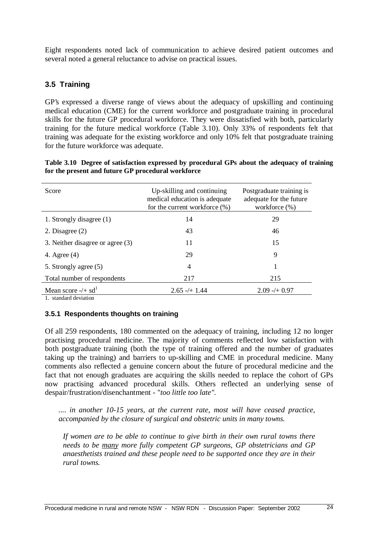Eight respondents noted lack of communication to achieve desired patient outcomes and several noted a general reluctance to advise on practical issues.

#### **3.5 Training**

GP's expressed a diverse range of views about the adequacy of upskilling and continuing medical education (CME) for the current workforce and postgraduate training in procedural skills for the future GP procedural workforce. They were dissatisfied with both, particularly training for the future medical workforce (Table 3.10). Only 33% of respondents felt that training was adequate for the existing workforce and only 10% felt that postgraduate training for the future workforce was adequate.

| Table 3.10 Degree of satisfaction expressed by procedural GPs about the adequacy of training |
|----------------------------------------------------------------------------------------------|
| for the present and future GP procedural workforce                                           |

| Score                            | Up-skilling and continuing<br>medical education is adequate<br>for the current workforce $(\%)$ | Postgraduate training is<br>adequate for the future<br>workforce $(\%)$ |
|----------------------------------|-------------------------------------------------------------------------------------------------|-------------------------------------------------------------------------|
| 1. Strongly disagree (1)         | 14                                                                                              | 29                                                                      |
| 2. Disagree $(2)$                | 43                                                                                              | 46                                                                      |
| 3. Neither disagree or agree (3) | 11                                                                                              | 15                                                                      |
| 4. Agree $(4)$                   | 29                                                                                              | 9                                                                       |
| 5. Strongly agree (5)            | 4                                                                                               |                                                                         |
| Total number of respondents      | 217                                                                                             | 215                                                                     |
| Mean score $-/+$ sd <sup>1</sup> | $2.65 - 1.44$                                                                                   | $2.09 - 0.97$                                                           |

1. standard deviation

#### **3.5.1 Respondents thoughts on training**

Of all 259 respondents, 180 commented on the adequacy of training, including 12 no longer practising procedural medicine. The majority of comments reflected low satisfaction with both postgraduate training (both the type of training offered and the number of graduates taking up the training) and barriers to up-skilling and CME in procedural medicine. Many comments also reflected a genuine concern about the future of procedural medicine and the fact that not enough graduates are acquiring the skills needed to replace the cohort of GPs now practising advanced procedural skills. Others reflected an underlying sense of despair/frustration/disenchantment - "*too little too late".*

*.... in another 10-15 years, at the current rate, most will have ceased practice, accompanied by the closure of surgical and obstetric units in many towns.*

*If women are to be able to continue to give birth in their own rural towns there needs to be many more fully competent GP surgeons, GP obstetricians and GP anaesthetists trained and these people need to be supported once they are in their rural towns.*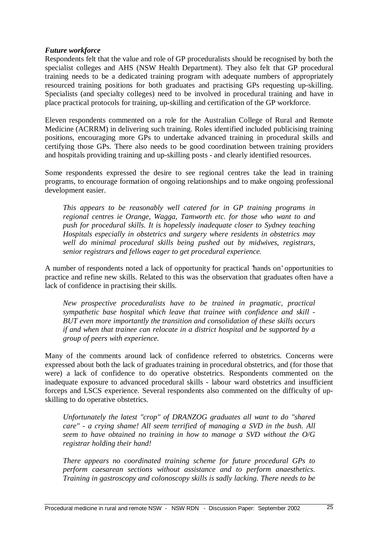#### *Future workforce*

Respondents felt that the value and role of GP proceduralists should be recognised by both the specialist colleges and AHS (NSW Health Department). They also felt that GP procedural training needs to be a dedicated training program with adequate numbers of appropriately resourced training positions for both graduates and practising GPs requesting up-skilling. Specialists (and specialty colleges) need to be involved in procedural training and have in place practical protocols for training, up-skilling and certification of the GP workforce.

Eleven respondents commented on a role for the Australian College of Rural and Remote Medicine (ACRRM) in delivering such training. Roles identified included publicising training positions, encouraging more GPs to undertake advanced training in procedural skills and certifying those GPs. There also needs to be good coordination between training providers and hospitals providing training and up-skilling posts - and clearly identified resources.

Some respondents expressed the desire to see regional centres take the lead in training programs, to encourage formation of ongoing relationships and to make ongoing professional development easier.

*This appears to be reasonably well catered for in GP training programs in regional centres ie Orange, Wagga, Tamworth etc. for those who want to and push for procedural skills. It is hopelessly inadequate closer to Sydney teaching Hospitals especially in obstetrics and surgery where residents in obstetrics may well do minimal procedural skills being pushed out by midwives, registrars, senior registrars and fellows eager to get procedural experience*.

A number of respondents noted a lack of opportunity for practical 'hands on' opportunities to practice and refine new skills. Related to this was the observation that graduates often have a lack of confidence in practising their skills.

*New prospective proceduralists have to be trained in pragmatic, practical sympathetic base hospital which leave that trainee with confidence and skill - BUT even more importantly the transition and consolidation of these skills occurs if and when that trainee can relocate in a district hospital and be supported by a group of peers with experience.*

Many of the comments around lack of confidence referred to obstetrics. Concerns were expressed about both the lack of graduates training in procedural obstetrics, and (for those that were) a lack of confidence to do operative obstetrics. Respondents commented on the inadequate exposure to advanced procedural skills - labour ward obstetrics and insufficient forceps and LSCS experience. Several respondents also commented on the difficulty of upskilling to do operative obstetrics.

*Unfortunately the latest "crop" of DRANZOG graduates all want to do "shared care" - a crying shame! All seem terrified of managing a SVD in the bush. All seem to have obtained no training in how to manage a SVD without the O/G registrar holding their hand!*

*There appears no coordinated training scheme for future procedural GPs to perform caesarean sections without assistance and to perform anaesthetics. Training in gastroscopy and colonoscopy skills is sadly lacking. There needs to be*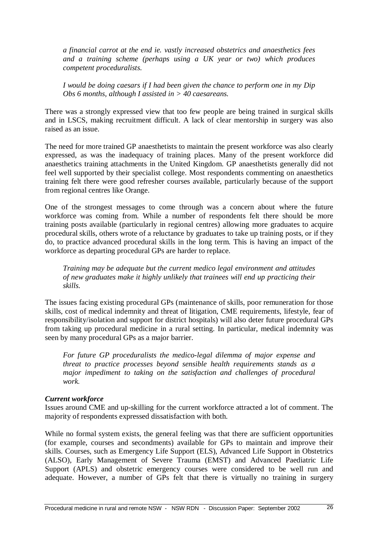*a financial carrot at the end ie. vastly increased obstetrics and anaesthetics fees and a training scheme (perhaps using a UK year or two) which produces competent proceduralists.*

*I would be doing caesars if I had been given the chance to perform one in my Dip Obs 6 months, although I assisted in > 40 caesareans.*

There was a strongly expressed view that too few people are being trained in surgical skills and in LSCS, making recruitment difficult. A lack of clear mentorship in surgery was also raised as an issue.

The need for more trained GP anaesthetists to maintain the present workforce was also clearly expressed, as was the inadequacy of training places. Many of the present workforce did anaesthetics training attachments in the United Kingdom. GP anaesthetists generally did not feel well supported by their specialist college. Most respondents commenting on anaesthetics training felt there were good refresher courses available, particularly because of the support from regional centres like Orange.

One of the strongest messages to come through was a concern about where the future workforce was coming from. While a number of respondents felt there should be more training posts available (particularly in regional centres) allowing more graduates to acquire procedural skills, others wrote of a reluctance by graduates to take up training posts, or if they do, to practice advanced procedural skills in the long term. This is having an impact of the workforce as departing procedural GPs are harder to replace.

*Training may be adequate but the current medico legal environment and attitudes of new graduates make it highly unlikely that trainees will end up practicing their skills.*

The issues facing existing procedural GPs (maintenance of skills, poor remuneration for those skills, cost of medical indemnity and threat of litigation, CME requirements, lifestyle, fear of responsibility/isolation and support for district hospitals) will also deter future procedural GPs from taking up procedural medicine in a rural setting. In particular, medical indemnity was seen by many procedural GPs as a major barrier.

*For future GP proceduralists the medico-legal dilemma of major expense and threat to practice processes beyond sensible health requirements stands as a major impediment to taking on the satisfaction and challenges of procedural work*.

#### *Current workforce*

Issues around CME and up-skilling for the current workforce attracted a lot of comment. The majority of respondents expressed dissatisfaction with both.

While no formal system exists, the general feeling was that there are sufficient opportunities (for example, courses and secondments) available for GPs to maintain and improve their skills. Courses, such as Emergency Life Support (ELS), Advanced Life Support in Obstetrics (ALSO), Early Management of Severe Trauma (EMST) and Advanced Paediatric Life Support (APLS) and obstetric emergency courses were considered to be well run and adequate. However, a number of GPs felt that there is virtually no training in surgery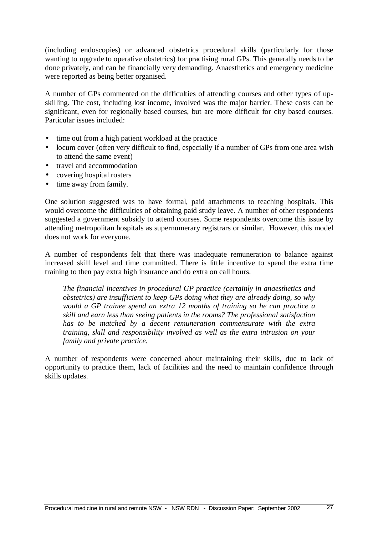(including endoscopies) or advanced obstetrics procedural skills (particularly for those wanting to upgrade to operative obstetrics) for practising rural GPs. This generally needs to be done privately, and can be financially very demanding. Anaesthetics and emergency medicine were reported as being better organised.

A number of GPs commented on the difficulties of attending courses and other types of upskilling. The cost, including lost income, involved was the major barrier. These costs can be significant, even for regionally based courses, but are more difficult for city based courses. Particular issues included:

- time out from a high patient workload at the practice
- locum cover (often very difficult to find, especially if a number of GPs from one area wish to attend the same event)
- travel and accommodation
- covering hospital rosters
- time away from family.

One solution suggested was to have formal, paid attachments to teaching hospitals. This would overcome the difficulties of obtaining paid study leave. A number of other respondents suggested a government subsidy to attend courses. Some respondents overcome this issue by attending metropolitan hospitals as supernumerary registrars or similar. However, this model does not work for everyone.

A number of respondents felt that there was inadequate remuneration to balance against increased skill level and time committed. There is little incentive to spend the extra time training to then pay extra high insurance and do extra on call hours.

*The financial incentives in procedural GP practice (certainly in anaesthetics and obstetrics) are insufficient to keep GPs doing what they are already doing, so why would a GP trainee spend an extra 12 months of training so he can practice a skill and earn less than seeing patients in the rooms? The professional satisfaction has to be matched by a decent remuneration commensurate with the extra training, skill and responsibility involved as well as the extra intrusion on your family and private practice.*

A number of respondents were concerned about maintaining their skills, due to lack of opportunity to practice them, lack of facilities and the need to maintain confidence through skills updates.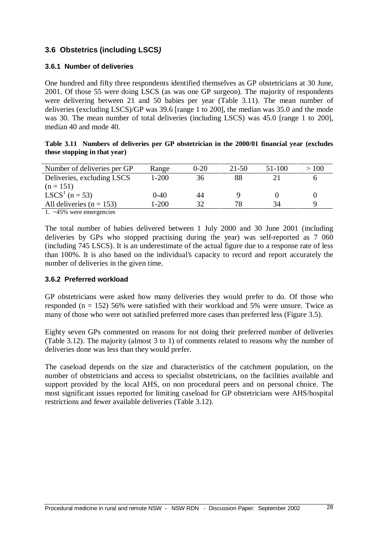### **3.6 Obstetrics (including LSCS)**

#### **3.6.1 Number of deliveries**

One hundred and fifty three respondents identified themselves as GP obstetricians at 30 June, 2001. Of those 55 were doing LSCS (as was one GP surgeon). The majority of respondents were delivering between 21 and 50 babies per year (Table 3.11). The mean number of deliveries (excluding LSCS)/GP was 39.6 [range 1 to 200], the median was 35.0 and the mode was 30. The mean number of total deliveries (including LSCS) was 45.0 [range 1 to 200], median 40 and mode 40.

**Table 3.11 Numbers of deliveries per GP obstetrician in the 2000/01 financial year (excludes those stopping in that year)**

| Number of deliveries per GP          | Range     | $0 - 20$ | 21-50 | 51-100 | >100 |
|--------------------------------------|-----------|----------|-------|--------|------|
| Deliveries, excluding LSCS           | $1 - 200$ | 36       | 88    |        |      |
| $(n = 151)$                          |           |          |       |        |      |
| <b>LSCS<sup>1</sup></b> ( $n = 53$ ) | 0-40      | 44       |       |        |      |
| All deliveries $(n = 153)$           | $1 - 200$ | 32       | 78    | 34     | Q    |
|                                      |           |          |       |        |      |

1. ~45% were emergencies

The total number of babies delivered between 1 July 2000 and 30 June 2001 (including deliveries by GPs who stopped practising during the year) was self-reported as 7 060 (including 745 LSCS). It is an underestimate of the actual figure due to a response rate of less than 100%. It is also based on the individual's capacity to record and report accurately the number of deliveries in the given time.

#### **3.6.2 Preferred workload**

GP obstetricians were asked how many deliveries they would prefer to do. Of those who responded ( $n = 152$ ) 56% were satisfied with their workload and 5% were unsure. Twice as many of those who were not satisfied preferred more cases than preferred less (Figure 3.5).

Eighty seven GPs commented on reasons for not doing their preferred number of deliveries (Table 3.12). The majority (almost 3 to 1) of comments related to reasons why the number of deliveries done was less than they would prefer.

The caseload depends on the size and characteristics of the catchment population, on the number of obstetricians and access to specialist obstetricians, on the facilities available and support provided by the local AHS, on non procedural peers and on personal choice. The most significant issues reported for limiting caseload for GP obstetricians were AHS/hospital restrictions and fewer available deliveries (Table 3.12).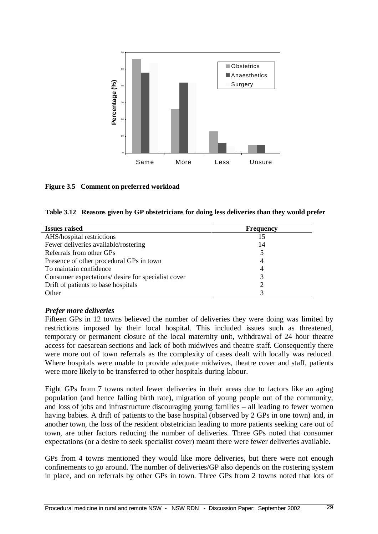

#### **Figure 3.5 Comment on preferred workload**

| Table 3.12 Reasons given by GP obstetricians for doing less deliveries than they would prefer |  |  |  |  |
|-----------------------------------------------------------------------------------------------|--|--|--|--|
|                                                                                               |  |  |  |  |

| <b>Issues raised</b>                               | <b>Frequency</b> |
|----------------------------------------------------|------------------|
| AHS/hospital restrictions                          | 15               |
| Fewer deliveries available/rostering               | 14               |
| Referrals from other GPs                           | 5                |
| Presence of other procedural GPs in town           | 4                |
| To maintain confidence                             | 4                |
| Consumer expectations/ desire for specialist cover |                  |
| Drift of patients to base hospitals                |                  |
| Other                                              |                  |

#### *Prefer more deliveries*

Fifteen GPs in 12 towns believed the number of deliveries they were doing was limited by restrictions imposed by their local hospital. This included issues such as threatened, temporary or permanent closure of the local maternity unit, withdrawal of 24 hour theatre access for caesarean sections and lack of both midwives and theatre staff. Consequently there were more out of town referrals as the complexity of cases dealt with locally was reduced. Where hospitals were unable to provide adequate midwives, theatre cover and staff, patients were more likely to be transferred to other hospitals during labour.

Eight GPs from 7 towns noted fewer deliveries in their areas due to factors like an aging population (and hence falling birth rate), migration of young people out of the community, and loss of jobs and infrastructure discouraging young families – all leading to fewer women having babies. A drift of patients to the base hospital (observed by 2 GPs in one town) and, in another town, the loss of the resident obstetrician leading to more patients seeking care out of town, are other factors reducing the number of deliveries. Three GPs noted that consumer expectations (or a desire to seek specialist cover) meant there were fewer deliveries available.

GPs from 4 towns mentioned they would like more deliveries, but there were not enough confinements to go around. The number of deliveries/GP also depends on the rostering system in place, and on referrals by other GPs in town. Three GPs from 2 towns noted that lots of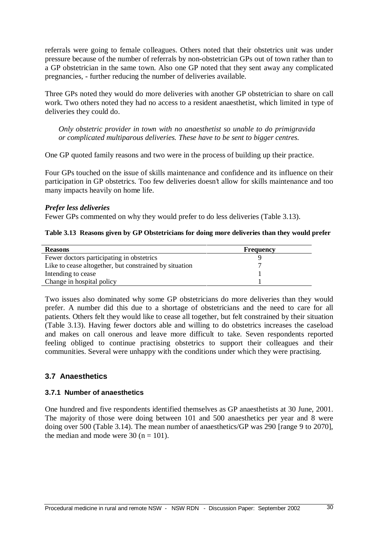referrals were going to female colleagues. Others noted that their obstetrics unit was under pressure because of the number of referrals by non-obstetrician GPs out of town rather than to a GP obstetrician in the same town. Also one GP noted that they sent away any complicated pregnancies, - further reducing the number of deliveries available.

Three GPs noted they would do more deliveries with another GP obstetrician to share on call work. Two others noted they had no access to a resident anaesthetist, which limited in type of deliveries they could do.

*Only obstetric provider in town with no anaesthetist so unable to do primigravida or complicated multiparous deliveries. These have to be sent to bigger centres.*

One GP quoted family reasons and two were in the process of building up their practice.

Four GPs touched on the issue of skills maintenance and confidence and its influence on their participation in GP obstetrics. Too few deliveries doesn't allow for skills maintenance and too many impacts heavily on home life.

#### *Prefer less deliveries*

Fewer GPs commented on why they would prefer to do less deliveries (Table 3.13).

#### **Table 3.13 Reasons given by GP Obstetricians for doing more deliveries than they would prefer**

| <b>Reasons</b>                                         | <b>Frequency</b> |  |
|--------------------------------------------------------|------------------|--|
| Fewer doctors participating in obstetrics              |                  |  |
| Like to cease altogether, but constrained by situation |                  |  |
| Intending to cease                                     |                  |  |
| Change in hospital policy                              |                  |  |

Two issues also dominated why some GP obstetricians do more deliveries than they would prefer. A number did this due to a shortage of obstetricians and the need to care for all patients. Others felt they would like to cease all together, but felt constrained by their situation (Table 3.13). Having fewer doctors able and willing to do obstetrics increases the caseload and makes on call onerous and leave more difficult to take. Seven respondents reported feeling obliged to continue practising obstetrics to support their colleagues and their communities. Several were unhappy with the conditions under which they were practising.

#### **3.7 Anaesthetics**

#### **3.7.1 Number of anaesthetics**

One hundred and five respondents identified themselves as GP anaesthetists at 30 June, 2001. The majority of those were doing between 101 and 500 anaesthetics per year and 8 were doing over 500 (Table 3.14). The mean number of anaesthetics/GP was 290 [range 9 to 2070], the median and mode were 30 ( $n = 101$ ).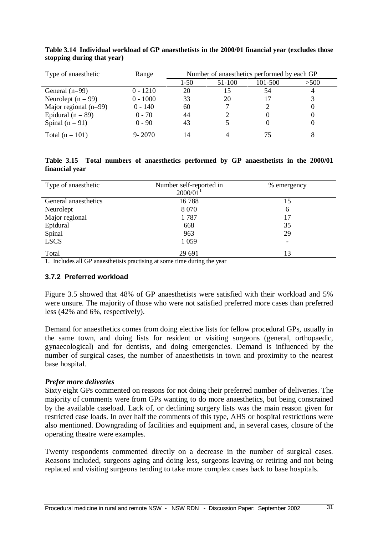| Type of anaesthetic     | Range      |        | Number of anaesthetics performed by each GP |         |      |  |  |
|-------------------------|------------|--------|---------------------------------------------|---------|------|--|--|
|                         |            | $1-50$ | 51-100                                      | 101-500 | >500 |  |  |
| General $(n=99)$        | $0 - 1210$ | 20     | 15                                          | 54      | 4    |  |  |
| Neurolept ( $n = 99$ )  | $0 - 1000$ | 33     | 20                                          |         |      |  |  |
| Major regional $(n=99)$ | $0 - 140$  | 60     |                                             |         |      |  |  |
| Epidural ( $n = 89$ )   | $0 - 70$   | 44     |                                             |         |      |  |  |
| Spinal $(n = 91)$       | $0 - 90$   | 43     |                                             |         |      |  |  |
| Total ( $n = 101$ )     | $9 - 2070$ | 14     |                                             | 75      |      |  |  |

**Table 3.14 Individual workload of GP anaesthetists in the 2000/01 financial year (excludes those stopping during that year)**

**Table 3.15 Total numbers of anaesthetics performed by GP anaesthetists in the 2000/01 financial year**

| Type of anaesthetic  | Number self-reported in | % emergency |
|----------------------|-------------------------|-------------|
|                      | 2000/01                 |             |
| General anaesthetics | 16788                   | 15          |
| Neurolept            | 8 0 7 0                 | 6           |
| Major regional       | 1787                    | 17          |
| Epidural             | 668                     | 35          |
| Spinal               | 963                     | 29          |
| <b>LSCS</b>          | 1 0 5 9                 |             |
| Total<br>$\cdot$ .   | 29 691                  | 13          |

1. Includes all GP anaesthetists practising at some time during the year

#### **3.7.2 Preferred workload**

Figure 3.5 showed that 48% of GP anaesthetists were satisfied with their workload and 5% were unsure. The majority of those who were not satisfied preferred more cases than preferred less (42% and 6%, respectively).

Demand for anaesthetics comes from doing elective lists for fellow procedural GPs, usually in the same town, and doing lists for resident or visiting surgeons (general, orthopaedic, gynaecological) and for dentists, and doing emergencies. Demand is influenced by the number of surgical cases, the number of anaesthetists in town and proximity to the nearest base hospital.

#### *Prefer more deliveries*

Sixty eight GPs commented on reasons for not doing their preferred number of deliveries. The majority of comments were from GPs wanting to do more anaesthetics, but being constrained by the available caseload. Lack of, or declining surgery lists was the main reason given for restricted case loads. In over half the comments of this type, AHS or hospital restrictions were also mentioned. Downgrading of facilities and equipment and, in several cases, closure of the operating theatre were examples.

Twenty respondents commented directly on a decrease in the number of surgical cases. Reasons included, surgeons aging and doing less, surgeons leaving or retiring and not being replaced and visiting surgeons tending to take more complex cases back to base hospitals.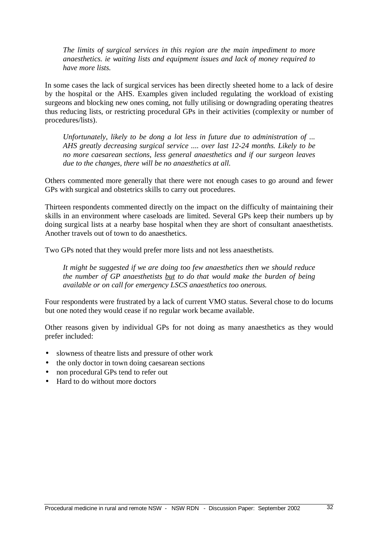*The limits of surgical services in this region are the main impediment to more anaesthetics. ie waiting lists and equipment issues and lack of money required to have more lists.*

In some cases the lack of surgical services has been directly sheeted home to a lack of desire by the hospital or the AHS. Examples given included regulating the workload of existing surgeons and blocking new ones coming, not fully utilising or downgrading operating theatres thus reducing lists, or restricting procedural GPs in their activities (complexity or number of procedures/lists).

*Unfortunately, likely to be dong a lot less in future due to administration of ... AHS greatly decreasing surgical service .... over last 12-24 months. Likely to be no more caesarean sections, less general anaesthetics and if our surgeon leaves due to the changes, there will be no anaesthetics at all.*

Others commented more generally that there were not enough cases to go around and fewer GPs with surgical and obstetrics skills to carry out procedures.

Thirteen respondents commented directly on the impact on the difficulty of maintaining their skills in an environment where caseloads are limited. Several GPs keep their numbers up by doing surgical lists at a nearby base hospital when they are short of consultant anaesthetists. Another travels out of town to do anaesthetics.

Two GPs noted that they would prefer more lists and not less anaesthetists.

*It might be suggested if we are doing too few anaesthetics then we should reduce the number of GP anaesthetists but to do that would make the burden of being available or on call for emergency LSCS anaesthetics too onerous.*

Four respondents were frustrated by a lack of current VMO status. Several chose to do locums but one noted they would cease if no regular work became available.

Other reasons given by individual GPs for not doing as many anaesthetics as they would prefer included:

- slowness of theatre lists and pressure of other work
- the only doctor in town doing caesarean sections
- non procedural GPs tend to refer out
- Hard to do without more doctors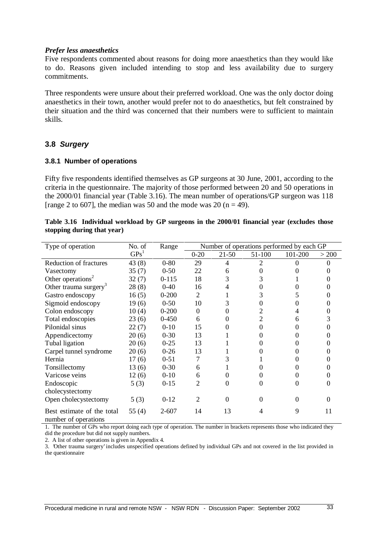#### *Prefer less anaesthetics*

Five respondents commented about reasons for doing more anaesthetics than they would like to do. Reasons given included intending to stop and less availability due to surgery commitments.

Three respondents were unsure about their preferred workload. One was the only doctor doing anaesthetics in their town, another would prefer not to do anaesthetics, but felt constrained by their situation and the third was concerned that their numbers were to sufficient to maintain skills.

#### **3.8 Surgery**

#### **3.8.1 Number of operations**

Fifty five respondents identified themselves as GP surgeons at 30 June, 2001, according to the criteria in the questionnaire. The majority of those performed between 20 and 50 operations in the 2000/01 financial year (Table 3.16). The mean number of operations/GP surgeon was 118 [range 2 to 607], the median was 50 and the mode was 20 ( $n = 49$ ).

| Table 3.16 Individual workload by GP surgeons in the 2000/01 financial year (excludes those |  |  |  |  |
|---------------------------------------------------------------------------------------------|--|--|--|--|
| stopping during that year)                                                                  |  |  |  |  |

| Type of operation                                  | No. of           | Range     | Number of operations performed by each GP |           |          |          |       |
|----------------------------------------------------|------------------|-----------|-------------------------------------------|-----------|----------|----------|-------|
|                                                    | GPs <sup>1</sup> |           | $0 - 20$                                  | $21 - 50$ | 51-100   | 101-200  | > 200 |
| <b>Reduction of fractures</b>                      | 43(8)            | $0 - 80$  | 29                                        | 4         | 2        | 0        |       |
| Vasectomy                                          | 35(7)            | $0 - 50$  | 22                                        | 6         | 0        |          |       |
| Other operations <sup>2</sup>                      | 32(7)            | $0 - 115$ | 18                                        | 3         | 3        |          |       |
| Other trauma surgery <sup>3</sup>                  | 28(8)            | $0 - 40$  | 16                                        | 4         |          |          |       |
| Gastro endoscopy                                   | 16(5)            | $0 - 200$ | 2                                         |           | 3        |          |       |
| Sigmoid endoscopy                                  | 19(6)            | $0 - 50$  | 10                                        | 3         | 0        |          |       |
| Colon endoscopy                                    | 10(4)            | $0 - 200$ | $\Omega$                                  | 0         |          |          |       |
| Total endoscopies                                  | 23(6)            | $0 - 450$ | 6                                         |           |          | h        |       |
| Pilonidal sinus                                    | 22(7)            | $0 - 10$  | 15                                        |           | 0        |          |       |
| Appendicectomy                                     | 20(6)            | $0 - 30$  | 13                                        |           |          |          |       |
| Tubal ligation                                     | 20(6)            | $0 - 25$  | 13                                        |           |          |          |       |
| Carpel tunnel syndrome                             | 20(6)            | $0 - 26$  | 13                                        |           |          |          |       |
| Hernia                                             | 17(6)            | $0 - 51$  |                                           | 3         |          |          |       |
| Tonsillectomy                                      | 13(6)            | $0 - 30$  | 6                                         |           |          |          |       |
| Varicose veins                                     | 12(6)            | $0 - 10$  | 6                                         |           |          |          |       |
| Endoscopic                                         | 5(3)             | $0 - 15$  | 2                                         | 0         | 0        | 0        |       |
| cholecystectomy                                    |                  |           |                                           |           |          |          |       |
| Open cholecystectomy                               | 5(3)             | $0 - 12$  | 2                                         | 0         | $\Omega$ | $\Omega$ |       |
| Best estimate of the total<br>number of operations | 55 $(4)$         | $2 - 607$ | 14                                        | 13        | 4        | 9        | 11    |

1. The number of GPs who report doing each type of operation. The number in brackets represents those who indicated they did the procedure but did not supply numbers.

2. A list of other operations is given in Appendix 4.

3. 'Other trauma surgery'includes unspecified operations defined by individual GPs and not covered in the list provided in the questionnaire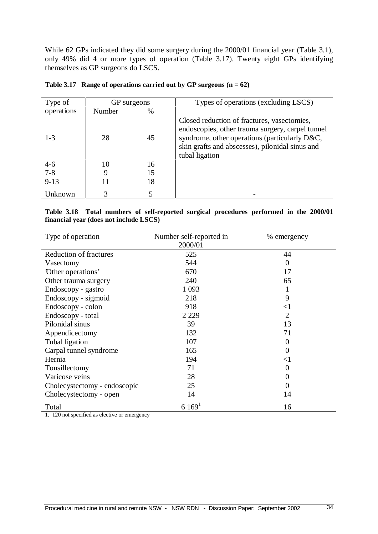While 62 GPs indicated they did some surgery during the 2000/01 financial year (Table 3.1), only 49% did 4 or more types of operation (Table 3.17). Twenty eight GPs identifying themselves as GP surgeons do LSCS.

| Type of    | GP surgeons |      | Types of operations (excluding LSCS)                                                                                                                                                                                  |
|------------|-------------|------|-----------------------------------------------------------------------------------------------------------------------------------------------------------------------------------------------------------------------|
| operations | Number      | $\%$ |                                                                                                                                                                                                                       |
| $1 - 3$    | 28          | 45   | Closed reduction of fractures, vasectomies,<br>endoscopies, other trauma surgery, carpel tunnel<br>syndrome, other operations (particularly D&C,<br>skin grafts and abscesses), pilonidal sinus and<br>tubal ligation |
| $4-6$      | 10          | 16   |                                                                                                                                                                                                                       |
| $7 - 8$    | 9           | 15   |                                                                                                                                                                                                                       |
| $9 - 13$   | 11          | 18   |                                                                                                                                                                                                                       |
| Unknown    | 3           |      |                                                                                                                                                                                                                       |

| Table 3.17 Range of operations carried out by GP surgeons $(n = 62)$ |  |  |
|----------------------------------------------------------------------|--|--|
|                                                                      |  |  |

#### **Table 3.18 Total numbers of self-reported surgical procedures performed in the 2000/01 financial year (does not include LSCS)**

| Type of operation             | Number self-reported in | % emergency    |
|-------------------------------|-------------------------|----------------|
|                               | 2000/01                 |                |
| <b>Reduction of fractures</b> | 525                     | 44             |
| Vasectomy                     | 544                     | 0              |
| 'Other operations'            | 670                     | 17             |
| Other trauma surgery          | 240                     | 65             |
| Endoscopy - gastro            | 1 0 9 3                 | 1              |
| Endoscopy - sigmoid           | 218                     | 9              |
| Endoscopy - colon             | 918                     | $<$ 1          |
| Endoscopy - total             | 2 2 2 9                 | $\overline{2}$ |
| Pilonidal sinus               | 39                      | 13             |
| Appendicectomy                | 132                     | 71             |
| Tubal ligation                | 107                     | 0              |
| Carpal tunnel syndrome        | 165                     | 0              |
| Hernia                        | 194                     | $<$ l          |
| Tonsillectomy                 | 71                      | 0              |
| Varicose veins                | 28                      | 0              |
| Cholecystectomy - endoscopic  | 25                      | 0              |
| Cholecystectomy - open        | 14                      | 14             |
| Total                         | $6169^1$                | 16             |

1. 120 not specified as elective or emergency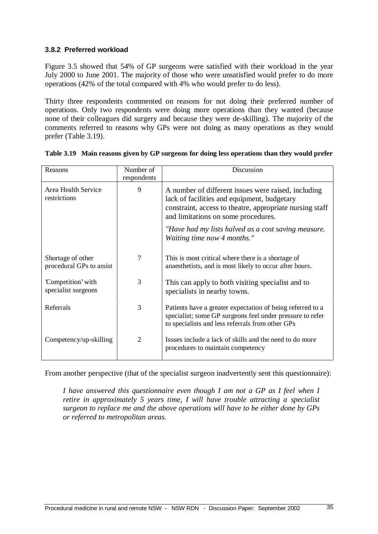#### **3.8.2 Preferred workload**

Figure 3.5 showed that 54% of GP surgeons were satisfied with their workload in the year July 2000 to June 2001. The majority of those who were unsatisfied would prefer to do more operations (42% of the total compared with 4% who would prefer to do less).

Thirty three respondents commented on reasons for not doing their preferred number of operations. Only two respondents were doing more operations than they wanted (because none of their colleagues did surgery and because they were de-skilling). The majority of the comments referred to reasons why GPs were not doing as many operations as they would prefer (Table 3.19).

| Reasons                                       | Number of<br>respondents | Discussion                                                                                                                                                                                            |
|-----------------------------------------------|--------------------------|-------------------------------------------------------------------------------------------------------------------------------------------------------------------------------------------------------|
| Area Health Service<br>restrictions           | 9                        | A number of different issues were raised, including<br>lack of facilities and equipment, budgetary<br>constraint, access to theatre, appropriate nursing staff<br>and limitations on some procedures. |
|                                               |                          | "Have had my lists halved as a cost saving measure.<br>Waiting time now 4 months."                                                                                                                    |
| Shortage of other<br>procedural GPs to assist | 7                        | This is most critical where there is a shortage of<br>anaesthetists, and is most likely to occur after hours.                                                                                         |
| 'Competition' with<br>specialist surgeons     | 3                        | This can apply to both visiting specialist and to<br>specialists in nearby towns.                                                                                                                     |
| Referrals                                     | 3                        | Patients have a greater expectation of being referred to a<br>specialist; some GP surgeons feel under pressure to refer<br>to specialists and less referrals from other GPs                           |
| Competency/up-skilling                        | $\overline{2}$           | Issues include a lack of skills and the need to do more<br>procedures to maintain competency                                                                                                          |

|  |  |  | Table 3.19 Main reasons given by GP surgeons for doing less operations than they would prefer |
|--|--|--|-----------------------------------------------------------------------------------------------|
|  |  |  |                                                                                               |

From another perspective (that of the specialist surgeon inadvertently sent this questionnaire):

*I have answered this questionnaire even though I am not a GP as I feel when I retire in approximately 5 years time, I will have trouble attracting a specialist surgeon to replace me and the above operations will have to be either done by GPs or referred to metropolitan areas.*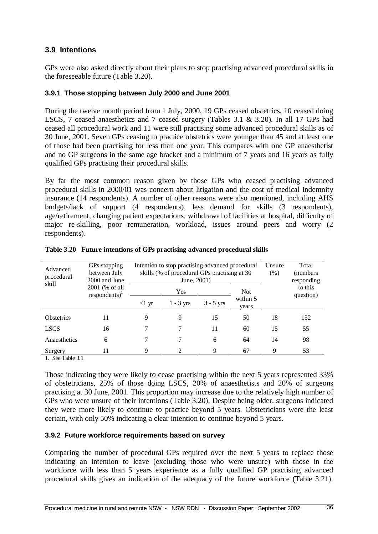#### **3.9 Intentions**

GPs were also asked directly about their plans to stop practising advanced procedural skills in the foreseeable future (Table 3.20).

#### **3.9.1 Those stopping between July 2000 and June 2001**

During the twelve month period from 1 July, 2000, 19 GPs ceased obstetrics, 10 ceased doing LSCS, 7 ceased anaesthetics and 7 ceased surgery (Tables 3.1 & 3.20). In all 17 GPs had ceased all procedural work and 11 were still practising some advanced procedural skills as of 30 June, 2001. Seven GPs ceasing to practice obstetrics were younger than 45 and at least one of those had been practising for less than one year. This compares with one GP anaesthetist and no GP surgeons in the same age bracket and a minimum of 7 years and 16 years as fully qualified GPs practising their procedural skills.

By far the most common reason given by those GPs who ceased practising advanced procedural skills in 2000/01 was concern about litigation and the cost of medical indemnity insurance (14 respondents). A number of other reasons were also mentioned, including AHS budgets/lack of support (4 respondents), less demand for skills (3 respondents), age/retirement, changing patient expectations, withdrawal of facilities at hospital, difficulty of major re-skilling, poor remuneration, workload, issues around peers and worry (2 respondents).

| Advanced<br>procedural<br>skill | GPs stopping<br>between July<br>2000 and June |                 | Intention to stop practising advanced procedural<br>skills (% of procedural GPs practising at 30)<br>June, 2001) | Unsure<br>$(\% )$ | Total<br>(numbers)<br>responding |                      |     |
|---------------------------------|-----------------------------------------------|-----------------|------------------------------------------------------------------------------------------------------------------|-------------------|----------------------------------|----------------------|-----|
|                                 | 2001 (% of all<br>$respondents)^{1}$          |                 | Yes                                                                                                              |                   |                                  | to this<br>question) |     |
|                                 |                                               | $<1 \text{ yr}$ | $1 - 3$ yrs                                                                                                      | $3 - 5$ yrs       | within 5<br>years                |                      |     |
| <b>Obstetrics</b>               | 11                                            | 9               | 9                                                                                                                | 15                | 50                               | 18                   | 152 |
| <b>LSCS</b>                     | 16                                            |                 | 7                                                                                                                | 11                | 60                               | 15                   | 55  |
| Anaesthetics                    | 6                                             |                 | 7                                                                                                                | 6                 | 64                               | 14                   | 98  |
| Surgery                         | 11                                            | 9               | 2                                                                                                                | 9                 | 67                               | 9                    | 53  |

#### **Table 3.20 Future intentions of GPs practising advanced procedural skills**

1. See Table 3.1

Those indicating they were likely to cease practising within the next 5 years represented 33% of obstetricians, 25% of those doing LSCS, 20% of anaesthetists and 20% of surgeons practising at 30 June, 2001. This proportion may increase due to the relatively high number of GPs who were unsure of their intentions (Table 3.20). Despite being older, surgeons indicated they were more likely to continue to practice beyond 5 years. Obstetricians were the least certain, with only 50% indicating a clear intention to continue beyond 5 years.

#### **3.9.2 Future workforce requirements based on survey**

Comparing the number of procedural GPs required over the next 5 years to replace those indicating an intention to leave (excluding those who were unsure) with those in the workforce with less than 5 years experience as a fully qualified GP practising advanced procedural skills gives an indication of the adequacy of the future workforce (Table 3.21).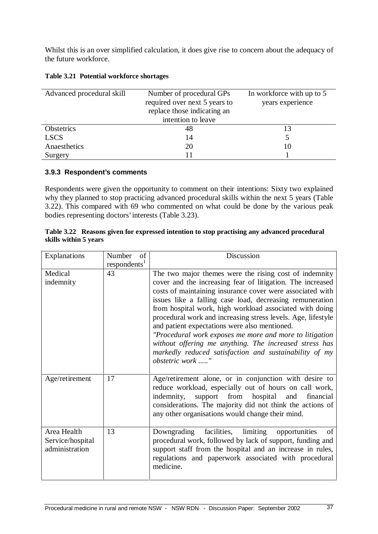Whilst this is an over simplified calculation, it does give rise to concern about the adequacy of the future workforce.

| Advanced procedural skill | Number of procedural GPs      | In workforce with up to 5 |
|---------------------------|-------------------------------|---------------------------|
|                           | required over next 5 years to | years experience          |
|                           | replace those indicating an   |                           |
|                           | intention to leave            |                           |
| Obstetrics                | 48                            |                           |
| <b>LSCS</b>               | 14                            |                           |
| Anaesthetics              | 20                            | 10                        |
| Surgery                   |                               |                           |

#### **3.9.3 Respondent's comments**

Respondents were given the opportunity to comment on their intentions: Sixty two explained why they planned to stop practicing advanced procedural skills within the next 5 years (Table 3.22). This compared with 69 who commented on what could be done by the various peak bodies representing doctors'interests (Table 3.23).

|                       | Table 3.22 Reasons given for expressed intention to stop practising any advanced procedural |
|-----------------------|---------------------------------------------------------------------------------------------|
| skills within 5 years |                                                                                             |

| Explanations                                      | Number<br>of<br>respondents <sup>1</sup> | <b>Discussion</b>                                                                                                                                                                                                                                                                                                                                                                                                                                                                                                                                                                                                            |
|---------------------------------------------------|------------------------------------------|------------------------------------------------------------------------------------------------------------------------------------------------------------------------------------------------------------------------------------------------------------------------------------------------------------------------------------------------------------------------------------------------------------------------------------------------------------------------------------------------------------------------------------------------------------------------------------------------------------------------------|
| Medical<br>indemnity                              | 43                                       | The two major themes were the rising cost of indemnity<br>cover and the increasing fear of litigation. The increased<br>costs of maintaining insurance cover were associated with<br>issues like a falling case load, decreasing remuneration<br>from hospital work, high workload associated with doing<br>procedural work and increasing stress levels. Age, lifestyle<br>and patient expectations were also mentioned.<br>"Procedural work exposes me more and more to litigation<br>without offering me anything. The increased stress has<br>markedly reduced satisfaction and sustainability of my<br>obstetric work " |
| Age/retirement                                    | 17                                       | Age/retirement alone, or in conjunction with desire to<br>reduce workload, especially out of hours on call work,<br>indemnity,<br>support from hospital and<br>financial<br>considerations. The majority did not think the actions of<br>any other organisations would change their mind.                                                                                                                                                                                                                                                                                                                                    |
| Area Health<br>Service/hospital<br>administration | 13                                       | Downgrading facilities, limiting opportunities<br>of<br>procedural work, followed by lack of support, funding and<br>support staff from the hospital and an increase in rules,<br>regulations and paperwork associated with procedural<br>medicine.                                                                                                                                                                                                                                                                                                                                                                          |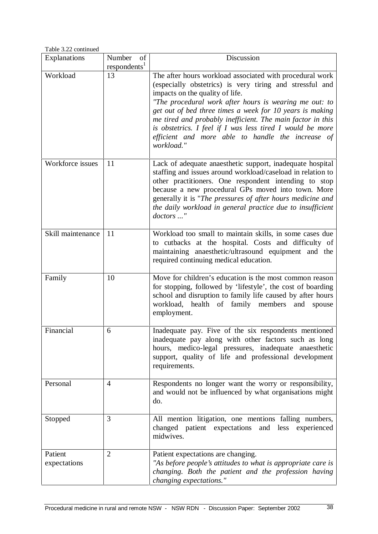Table 3.22 continued

| Explanations            | of<br>Number             | Discussion                                                                                                                                                                                                                                                                                                                                                                                                                                                                  |
|-------------------------|--------------------------|-----------------------------------------------------------------------------------------------------------------------------------------------------------------------------------------------------------------------------------------------------------------------------------------------------------------------------------------------------------------------------------------------------------------------------------------------------------------------------|
|                         | respondents <sup>1</sup> |                                                                                                                                                                                                                                                                                                                                                                                                                                                                             |
| Workload                | 13                       | The after hours workload associated with procedural work<br>(especially obstetrics) is very tiring and stressful and<br>impacts on the quality of life.<br>"The procedural work after hours is wearing me out: to<br>get out of bed three times a week for 10 years is making<br>me tired and probably inefficient. The main factor in this<br>is obstetrics. I feel if I was less tired I would be more<br>efficient and more able to handle the increase of<br>workload." |
| Workforce issues        | 11                       | Lack of adequate anaesthetic support, inadequate hospital<br>staffing and issues around workload/caseload in relation to<br>other practitioners. One respondent intending to stop<br>because a new procedural GPs moved into town. More<br>generally it is "The pressures of after hours medicine and<br>the daily workload in general practice due to insufficient<br>doctors "                                                                                            |
| Skill maintenance       | 11                       | Workload too small to maintain skills, in some cases due<br>to cutbacks at the hospital. Costs and difficulty of<br>maintaining anaesthetic/ultrasound equipment and the<br>required continuing medical education.                                                                                                                                                                                                                                                          |
| Family                  | 10                       | Move for children's education is the most common reason<br>for stopping, followed by 'lifestyle', the cost of boarding<br>school and disruption to family life caused by after hours<br>workload, health of family members<br>and<br>spouse<br>employment.                                                                                                                                                                                                                  |
| Financial               | 6                        | Inadequate pay. Five of the six respondents mentioned<br>inadequate pay along with other factors such as long<br>hours, medico-legal pressures, inadequate anaesthetic<br>support, quality of life and professional development<br>requirements.                                                                                                                                                                                                                            |
| Personal                | 4                        | Respondents no longer want the worry or responsibility,<br>and would not be influenced by what organisations might<br>do.                                                                                                                                                                                                                                                                                                                                                   |
| Stopped                 | 3                        | All mention litigation, one mentions falling numbers,<br>changed patient expectations and less experienced<br>midwives.                                                                                                                                                                                                                                                                                                                                                     |
| Patient<br>expectations | $\overline{2}$           | Patient expectations are changing.<br>"As before people's attitudes to what is appropriate care is<br>changing. Both the patient and the profession having<br>changing expectations."                                                                                                                                                                                                                                                                                       |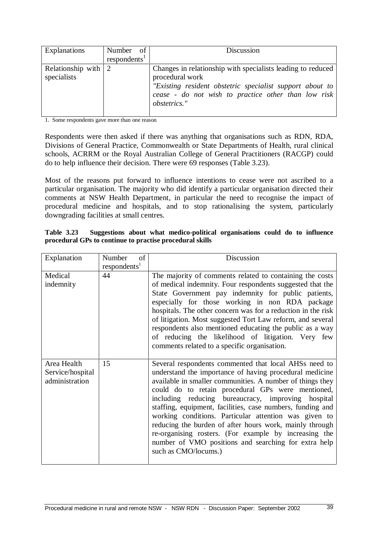| Explanations                                     | Number of<br>respondents <sup>1</sup> | Discussion                                                                                                                                                                                                        |
|--------------------------------------------------|---------------------------------------|-------------------------------------------------------------------------------------------------------------------------------------------------------------------------------------------------------------------|
| Relationship with $\vert 2 \vert$<br>specialists |                                       | Changes in relationship with specialists leading to reduced<br>procedural work<br>"Existing resident obstetric specialist support about to<br>cease - do not wish to practice other than low risk<br>obstetrics." |

1. Some respondents gave more than one reason

Respondents were then asked if there was anything that organisations such as RDN, RDA, Divisions of General Practice, Commonwealth or State Departments of Health, rural clinical schools, ACRRM or the Royal Australian College of General Practitioners (RACGP) could do to help influence their decision. There were 69 responses (Table 3.23).

Most of the reasons put forward to influence intentions to cease were not ascribed to a particular organisation. The majority who did identify a particular organisation directed their comments at NSW Health Department, in particular the need to recognise the impact of procedural medicine and hospitals, and to stop rationalising the system, particularly downgrading facilities at small centres.

| <b>Table 3.23</b> |  |  | Suggestions about what medico-political organisations could do to influence |  |  |  |
|-------------------|--|--|-----------------------------------------------------------------------------|--|--|--|
|                   |  |  | procedural GPs to continue to practise procedural skills                    |  |  |  |

| Explanation                                       | Number<br>of             | Discussion                                                                                                                                                                                                                                                                                                                                                                                                                                                                                                                                                                                                          |
|---------------------------------------------------|--------------------------|---------------------------------------------------------------------------------------------------------------------------------------------------------------------------------------------------------------------------------------------------------------------------------------------------------------------------------------------------------------------------------------------------------------------------------------------------------------------------------------------------------------------------------------------------------------------------------------------------------------------|
|                                                   | respondents <sup>1</sup> |                                                                                                                                                                                                                                                                                                                                                                                                                                                                                                                                                                                                                     |
| Medical                                           | 44                       | The majority of comments related to containing the costs                                                                                                                                                                                                                                                                                                                                                                                                                                                                                                                                                            |
| indemnity                                         |                          | of medical indemnity. Four respondents suggested that the<br>State Government pay indemnity for public patients,<br>especially for those working in non RDA package<br>hospitals. The other concern was for a reduction in the risk<br>of litigation. Most suggested Tort Law reform, and several<br>respondents also mentioned educating the public as a way<br>of reducing the likelihood of litigation. Very few<br>comments related to a specific organisation.                                                                                                                                                 |
| Area Health<br>Service/hospital<br>administration | 15                       | Several respondents commented that local AHSs need to<br>understand the importance of having procedural medicine<br>available in smaller communities. A number of things they<br>could do to retain procedural GPs were mentioned,<br>including reducing bureaucracy, improving hospital<br>staffing, equipment, facilities, case numbers, funding and<br>working conditions. Particular attention was given to<br>reducing the burden of after hours work, mainly through<br>re-organising rosters. (For example by increasing the<br>number of VMO positions and searching for extra help<br>such as CMO/locums.) |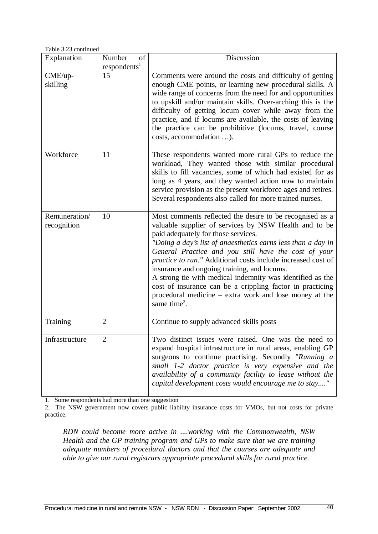Table 3.23 continued

| Explanation                  | of<br>Number<br>respondents <sup>1</sup> | Discussion                                                                                                                                                                                                                                                                                                                                                                                                                                                                                                                                                                                                      |
|------------------------------|------------------------------------------|-----------------------------------------------------------------------------------------------------------------------------------------------------------------------------------------------------------------------------------------------------------------------------------------------------------------------------------------------------------------------------------------------------------------------------------------------------------------------------------------------------------------------------------------------------------------------------------------------------------------|
| CME/up-<br>skilling          | 15                                       | Comments were around the costs and difficulty of getting<br>enough CME points, or learning new procedural skills. A<br>wide range of concerns from the need for and opportunities<br>to upskill and/or maintain skills. Over-arching this is the<br>difficulty of getting locum cover while away from the<br>practice, and if locums are available, the costs of leaving<br>the practice can be prohibitive (locums, travel, course<br>costs, accommodation ).                                                                                                                                                  |
| Workforce                    | 11                                       | These respondents wanted more rural GPs to reduce the<br>workload, They wanted those with similar procedural<br>skills to fill vacancies, some of which had existed for as<br>long as 4 years, and they wanted action now to maintain<br>service provision as the present workforce ages and retires.<br>Several respondents also called for more trained nurses.                                                                                                                                                                                                                                               |
| Remuneration/<br>recognition | 10                                       | Most comments reflected the desire to be recognised as a<br>valuable supplier of services by NSW Health and to be<br>paid adequately for those services.<br>"Doing a day's list of anaesthetics earns less than a day in<br>General Practice and you still have the cost of your<br>practice to run." Additional costs include increased cost of<br>insurance and ongoing training, and locums.<br>A strong tie with medical indemnity was identified as the<br>cost of insurance can be a crippling factor in practicing<br>procedural medicine – extra work and lose money at the<br>same time <sup>2</sup> . |
| Training                     | $\overline{2}$                           | Continue to supply advanced skills posts                                                                                                                                                                                                                                                                                                                                                                                                                                                                                                                                                                        |
| Infrastructure               | $\overline{2}$                           | Two distinct issues were raised. One was the need to<br>expand hospital infrastructure in rural areas, enabling GP<br>surgeons to continue practising. Secondly "Running a<br>small 1-2 doctor practice is very expensive and the<br>availability of a community facility to lease without the<br>capital development costs would encourage me to stay"                                                                                                                                                                                                                                                         |

1. Some respondents had more than one suggestion

2. The NSW government now covers public liability insurance costs for VMOs, but not costs for private practice.

*RDN could become more active in ....working with the Commonwealth, NSW Health and the GP training program and GPs to make sure that we are training adequate numbers of procedural doctors and that the courses are adequate and able to give our rural registrars appropriate procedural skills for rural practice.*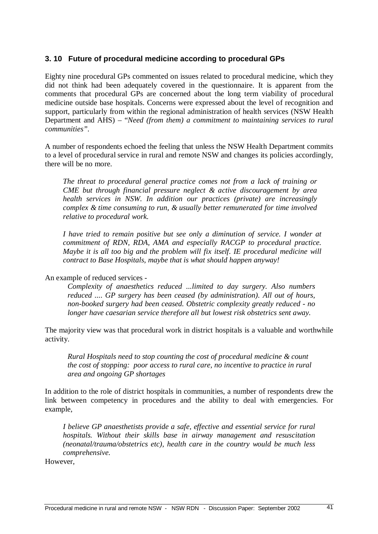#### **3. 10 Future of procedural medicine according to procedural GPs**

Eighty nine procedural GPs commented on issues related to procedural medicine, which they did not think had been adequately covered in the questionnaire. It is apparent from the comments that procedural GPs are concerned about the long term viability of procedural medicine outside base hospitals. Concerns were expressed about the level of recognition and support, particularly from within the regional administration of health services (NSW Health Department and AHS) – "*Need (from them) a commitment to maintaining services to rural communities".*

A number of respondents echoed the feeling that unless the NSW Health Department commits to a level of procedural service in rural and remote NSW and changes its policies accordingly, there will be no more.

*The threat to procedural general practice comes not from a lack of training or CME but through financial pressure neglect & active discouragement by area health services in NSW. In addition our practices (private) are increasingly complex & time consuming to run, & usually better remunerated for time involved relative to procedural work.*

*I have tried to remain positive but see only a diminution of service. I wonder at commitment of RDN, RDA, AMA and especially RACGP to procedural practice. Maybe it is all too big and the problem will fix itself. IE procedural medicine will contract to Base Hospitals, maybe that is what should happen anyway!*

An example of reduced services -

*Complexity of anaesthetics reduced ...limited to day surgery. Also numbers reduced .... GP surgery has been ceased (by administration). All out of hours, non-booked surgery had been ceased. Obstetric complexity greatly reduced - no longer have caesarian service therefore all but lowest risk obstetrics sent away.*

The majority view was that procedural work in district hospitals is a valuable and worthwhile activity.

*Rural Hospitals need to stop counting the cost of procedural medicine & count the cost of stopping: poor access to rural care, no incentive to practice in rural area and ongoing GP shortages*

In addition to the role of district hospitals in communities, a number of respondents drew the link between competency in procedures and the ability to deal with emergencies. For example,

*I believe GP anaesthetists provide a safe, effective and essential service for rural hospitals. Without their skills base in airway management and resuscitation (neonatal/trauma/obstetrics etc), health care in the country would be much less comprehensive.*

However,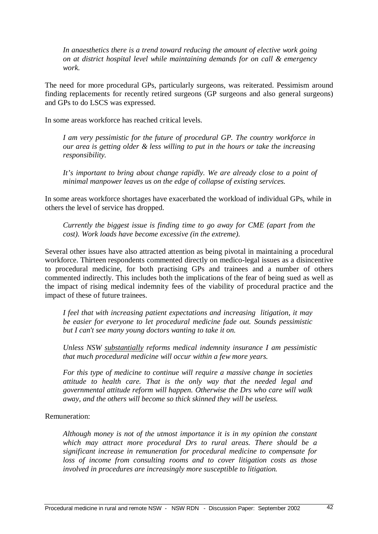*In anaesthetics there is a trend toward reducing the amount of elective work going on at district hospital level while maintaining demands for on call & emergency work.*

The need for more procedural GPs, particularly surgeons, was reiterated. Pessimism around finding replacements for recently retired surgeons (GP surgeons and also general surgeons) and GPs to do LSCS was expressed.

In some areas workforce has reached critical levels.

*I am very pessimistic for the future of procedural GP. The country workforce in our area is getting older & less willing to put in the hours or take the increasing responsibility.*

*It's important to bring about change rapidly. We are already close to a point of minimal manpower leaves us on the edge of collapse of existing services.*

In some areas workforce shortages have exacerbated the workload of individual GPs, while in others the level of service has dropped.

*Currently the biggest issue is finding time to go away for CME (apart from the cost). Work loads have become excessive (in the extreme).*

Several other issues have also attracted attention as being pivotal in maintaining a procedural workforce. Thirteen respondents commented directly on medico-legal issues as a disincentive to procedural medicine, for both practising GPs and trainees and a number of others commented indirectly. This includes both the implications of the fear of being sued as well as the impact of rising medical indemnity fees of the viability of procedural practice and the impact of these of future trainees.

*I feel that with increasing patient expectations and increasing litigation, it may be easier for everyone to let procedural medicine fade out. Sounds pessimistic but I can't see many young doctors wanting to take it on.*

*Unless NSW substantially reforms medical indemnity insurance I am pessimistic that much procedural medicine will occur within a few more years.*

*For this type of medicine to continue will require a massive change in societies attitude to health care. That is the only way that the needed legal and governmental attitude reform will happen. Otherwise the Drs who care will walk away, and the others will become so thick skinned they will be useless.*

Remuneration:

*Although money is not of the utmost importance it is in my opinion the constant which may attract more procedural Drs to rural areas. There should be a significant increase in remuneration for procedural medicine to compensate for loss of income from consulting rooms and to cover litigation costs as those involved in procedures are increasingly more susceptible to litigation.*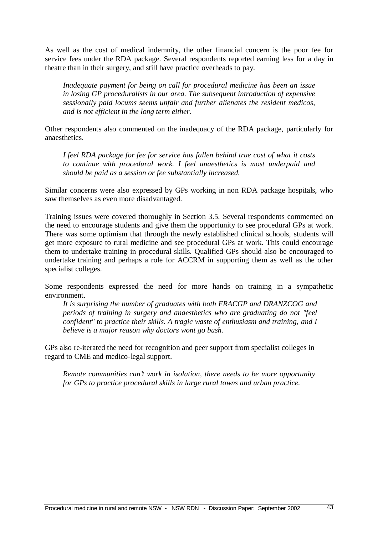As well as the cost of medical indemnity, the other financial concern is the poor fee for service fees under the RDA package. Several respondents reported earning less for a day in theatre than in their surgery, and still have practice overheads to pay.

*Inadequate payment for being on call for procedural medicine has been an issue in losing GP proceduralists in our area. The subsequent introduction of expensive sessionally paid locums seems unfair and further alienates the resident medicos, and is not efficient in the long term either.*

Other respondents also commented on the inadequacy of the RDA package, particularly for anaesthetics.

*I feel RDA package for fee for service has fallen behind true cost of what it costs to continue with procedural work. I feel anaesthetics is most underpaid and should be paid as a session or fee substantially increased.*

Similar concerns were also expressed by GPs working in non RDA package hospitals, who saw themselves as even more disadvantaged.

Training issues were covered thoroughly in Section 3.5. Several respondents commented on the need to encourage students and give them the opportunity to see procedural GPs at work. There was some optimism that through the newly established clinical schools, students will get more exposure to rural medicine and see procedural GPs at work. This could encourage them to undertake training in procedural skills. Qualified GPs should also be encouraged to undertake training and perhaps a role for ACCRM in supporting them as well as the other specialist colleges.

Some respondents expressed the need for more hands on training in a sympathetic environment.

*It is surprising the number of graduates with both FRACGP and DRANZCOG and periods of training in surgery and anaesthetics who are graduating do not "feel confident" to practice their skills. A tragic waste of enthusiasm and training, and I believe is a major reason why doctors wont go bush.*

GPs also re-iterated the need for recognition and peer support from specialist colleges in regard to CME and medico-legal support.

*Remote communities can't work in isolation, there needs to be more opportunity for GPs to practice procedural skills in large rural towns and urban practice.*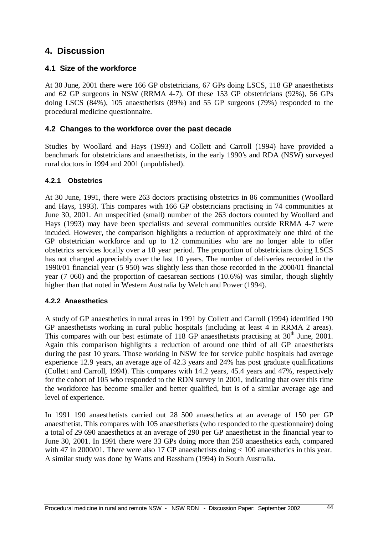## **4. Discussion**

#### **4.1 Size of the workforce**

At 30 June, 2001 there were 166 GP obstetricians, 67 GPs doing LSCS, 118 GP anaesthetists and 62 GP surgeons in NSW (RRMA 4-7). Of these 153 GP obstetricians (92%), 56 GPs doing LSCS (84%), 105 anaesthetists (89%) and 55 GP surgeons (79%) responded to the procedural medicine questionnaire.

#### **4.2 Changes to the workforce over the past decade**

Studies by Woollard and Hays (1993) and Collett and Carroll (1994) have provided a benchmark for obstetricians and anaesthetists, in the early 1990's and RDA (NSW) surveyed rural doctors in 1994 and 2001 (unpublished).

#### **4.2.1 Obstetrics**

At 30 June, 1991, there were 263 doctors practising obstetrics in 86 communities (Woollard and Hays, 1993). This compares with 166 GP obstetricians practising in 74 communities at June 30, 2001. An unspecified (small) number of the 263 doctors counted by Woollard and Hays (1993) may have been specialists and several communities outside RRMA 4-7 were incuded. However, the comparison highlights a reduction of approximately one third of the GP obstetrician workforce and up to 12 communities who are no longer able to offer obstetrics services locally over a 10 year period. The proportion of obstetricians doing LSCS has not changed appreciably over the last 10 years. The number of deliveries recorded in the 1990/01 financial year (5 950) was slightly less than those recorded in the 2000/01 financial year (7 060) and the proportion of caesarean sections (10.6%) was similar, though slightly higher than that noted in Western Australia by Welch and Power (1994).

#### **4.2.2 Anaesthetics**

A study of GP anaesthetics in rural areas in 1991 by Collett and Carroll (1994) identified 190 GP anaesthetists working in rural public hospitals (including at least 4 in RRMA 2 areas). This compares with our best estimate of 118 GP anaesthetists practising at  $30<sup>th</sup>$  June, 2001. Again this comparison highlights a reduction of around one third of all GP anaesthetists during the past 10 years. Those working in NSW fee for service public hospitals had average experience 12.9 years, an average age of 42.3 years and 24% has post graduate qualifications (Collett and Carroll, 1994). This compares with 14.2 years, 45.4 years and 47%, respectively for the cohort of 105 who responded to the RDN survey in 2001, indicating that over this time the workforce has become smaller and better qualified, but is of a similar average age and level of experience.

In 1991 190 anaesthetists carried out 28 500 anaesthetics at an average of 150 per GP anaesthetist. This compares with 105 anaesthetists (who responded to the questionnaire) doing a total of 29 690 anaesthetics at an average of 290 per GP anaesthetist in the financial year to June 30, 2001. In 1991 there were 33 GPs doing more than 250 anaesthetics each, compared with 47 in 2000/01. There were also 17 GP anaesthetists doing  $< 100$  anaesthetics in this year. A similar study was done by Watts and Bassham (1994) in South Australia.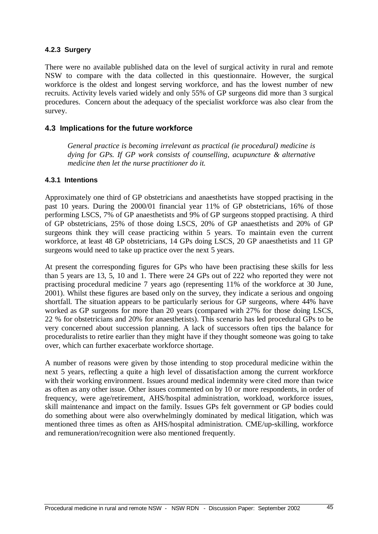#### **4.2.3 Surgery**

There were no available published data on the level of surgical activity in rural and remote NSW to compare with the data collected in this questionnaire. However, the surgical workforce is the oldest and longest serving workforce, and has the lowest number of new recruits. Activity levels varied widely and only 55% of GP surgeons did more than 3 surgical procedures. Concern about the adequacy of the specialist workforce was also clear from the survey.

#### **4.3 Implications for the future workforce**

*General practice is becoming irrelevant as practical (ie procedural) medicine is dying for GPs. If GP work consists of counselling, acupuncture & alternative medicine then let the nurse practitioner do it.*

#### **4.3.1 Intentions**

Approximately one third of GP obstetricians and anaesthetists have stopped practising in the past 10 years. During the 2000/01 financial year 11% of GP obstetricians, 16% of those performing LSCS, 7% of GP anaesthetists and 9% of GP surgeons stopped practising. A third of GP obstetricians, 25% of those doing LSCS, 20% of GP anaesthetists and 20% of GP surgeons think they will cease practicing within 5 years. To maintain even the current workforce, at least 48 GP obstetricians, 14 GPs doing LSCS, 20 GP anaesthetists and 11 GP surgeons would need to take up practice over the next 5 years.

At present the corresponding figures for GPs who have been practising these skills for less than 5 years are 13, 5, 10 and 1. There were 24 GPs out of 222 who reported they were not practising procedural medicine 7 years ago (representing 11% of the workforce at 30 June, 2001). Whilst these figures are based only on the survey, they indicate a serious and ongoing shortfall. The situation appears to be particularly serious for GP surgeons, where 44% have worked as GP surgeons for more than 20 years (compared with 27% for those doing LSCS, 22 % for obstetricians and 20% for anaesthetists). This scenario has led procedural GPs to be very concerned about succession planning. A lack of successors often tips the balance for proceduralists to retire earlier than they might have if they thought someone was going to take over, which can further exacerbate workforce shortage.

A number of reasons were given by those intending to stop procedural medicine within the next 5 years, reflecting a quite a high level of dissatisfaction among the current workforce with their working environment. Issues around medical indemnity were cited more than twice as often as any other issue. Other issues commented on by 10 or more respondents, in order of frequency, were age/retirement, AHS/hospital administration, workload, workforce issues, skill maintenance and impact on the family. Issues GPs felt government or GP bodies could do something about were also overwhelmingly dominated by medical litigation, which was mentioned three times as often as AHS/hospital administration. CME/up-skilling, workforce and remuneration/recognition were also mentioned frequently.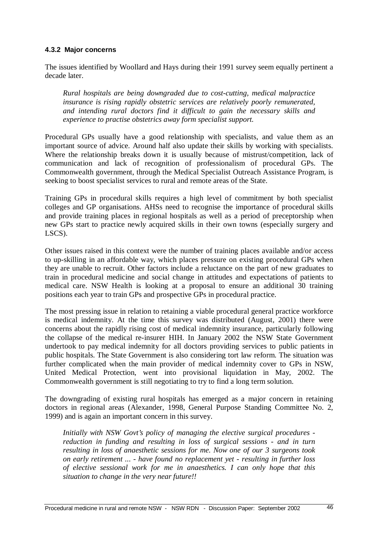#### **4.3.2 Major concerns**

The issues identified by Woollard and Hays during their 1991 survey seem equally pertinent a decade later.

*Rural hospitals are being downgraded due to cost-cutting, medical malpractice insurance is rising rapidly obstetric services are relatively poorly remunerated, and intending rural doctors find it difficult to gain the necessary skills and experience to practise obstetrics away form specialist support.*

Procedural GPs usually have a good relationship with specialists, and value them as an important source of advice. Around half also update their skills by working with specialists. Where the relationship breaks down it is usually because of mistrust/competition, lack of communication and lack of recognition of professionalism of procedural GPs. The Commonwealth government, through the Medical Specialist Outreach Assistance Program, is seeking to boost specialist services to rural and remote areas of the State.

Training GPs in procedural skills requires a high level of commitment by both specialist colleges and GP organisations. AHSs need to recognise the importance of procedural skills and provide training places in regional hospitals as well as a period of preceptorship when new GPs start to practice newly acquired skills in their own towns (especially surgery and LSCS).

Other issues raised in this context were the number of training places available and/or access to up-skilling in an affordable way, which places pressure on existing procedural GPs when they are unable to recruit. Other factors include a reluctance on the part of new graduates to train in procedural medicine and social change in attitudes and expectations of patients to medical care. NSW Health is looking at a proposal to ensure an additional 30 training positions each year to train GPs and prospective GPs in procedural practice.

The most pressing issue in relation to retaining a viable procedural general practice workforce is medical indemnity. At the time this survey was distributed (August, 2001) there were concerns about the rapidly rising cost of medical indemnity insurance, particularly following the collapse of the medical re-insurer HIH. In January 2002 the NSW State Government undertook to pay medical indemnity for all doctors providing services to public patients in public hospitals. The State Government is also considering tort law reform. The situation was further complicated when the main provider of medical indemnity cover to GPs in NSW, United Medical Protection, went into provisional liquidation in May, 2002. The Commonwealth government is still negotiating to try to find a long term solution.

The downgrading of existing rural hospitals has emerged as a major concern in retaining doctors in regional areas (Alexander, 1998, General Purpose Standing Committee No. 2, 1999) and is again an important concern in this survey.

*Initially with NSW Govt's policy of managing the elective surgical procedures reduction in funding and resulting in loss of surgical sessions - and in turn resulting in loss of anaesthetic sessions for me. Now one of our 3 surgeons took on early retirement ... - have found no replacement yet - resulting in further loss of elective sessional work for me in anaesthetics. I can only hope that this situation to change in the very near future!!*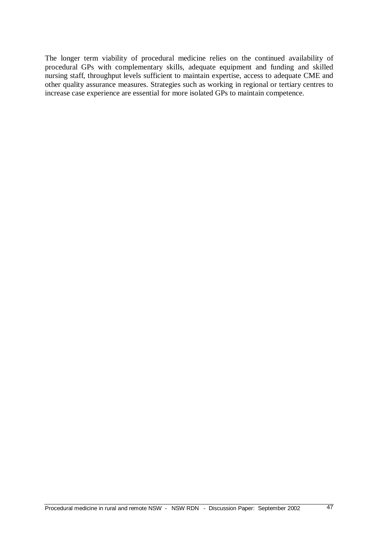The longer term viability of procedural medicine relies on the continued availability of procedural GPs with complementary skills, adequate equipment and funding and skilled nursing staff, throughput levels sufficient to maintain expertise, access to adequate CME and other quality assurance measures. Strategies such as working in regional or tertiary centres to increase case experience are essential for more isolated GPs to maintain competence.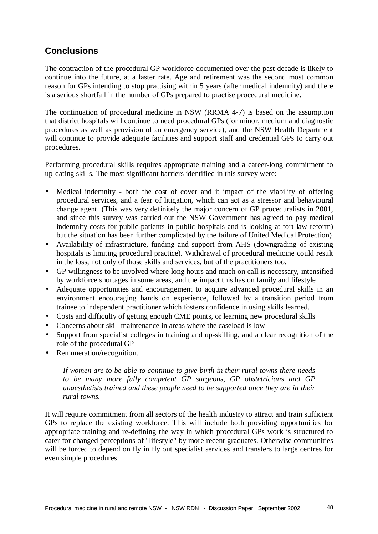## **Conclusions**

The contraction of the procedural GP workforce documented over the past decade is likely to continue into the future, at a faster rate. Age and retirement was the second most common reason for GPs intending to stop practising within 5 years (after medical indemnity) and there is a serious shortfall in the number of GPs prepared to practise procedural medicine.

The continuation of procedural medicine in NSW (RRMA 4-7) is based on the assumption that district hospitals will continue to need procedural GPs (for minor, medium and diagnostic procedures as well as provision of an emergency service), and the NSW Health Department will continue to provide adequate facilities and support staff and credential GPs to carry out procedures.

Performing procedural skills requires appropriate training and a career-long commitment to up-dating skills. The most significant barriers identified in this survey were:

- Medical indemnity both the cost of cover and it impact of the viability of offering procedural services, and a fear of litigation, which can act as a stressor and behavioural change agent. (This was very definitely the major concern of GP proceduralists in 2001, and since this survey was carried out the NSW Government has agreed to pay medical indemnity costs for public patients in public hospitals and is looking at tort law reform) but the situation has been further complicated by the failure of United Medical Protection)
- Availability of infrastructure, funding and support from AHS (downgrading of existing hospitals is limiting procedural practice). Withdrawal of procedural medicine could result in the loss, not only of those skills and services, but of the practitioners too.
- GP willingness to be involved where long hours and much on call is necessary, intensified by workforce shortages in some areas, and the impact this has on family and lifestyle
- Adequate opportunities and encouragement to acquire advanced procedural skills in an environment encouraging hands on experience, followed by a transition period from trainee to independent practitioner which fosters confidence in using skills learned.
- Costs and difficulty of getting enough CME points, or learning new procedural skills
- Concerns about skill maintenance in areas where the caseload is low
- Support from specialist colleges in training and up-skilling, and a clear recognition of the role of the procedural GP
- Remuneration/recognition.

*If women are to be able to continue to give birth in their rural towns there needs to be many more fully competent GP surgeons, GP obstetricians and GP anaesthetists trained and these people need to be supported once they are in their rural towns.*

It will require commitment from all sectors of the health industry to attract and train sufficient GPs to replace the existing workforce. This will include both providing opportunities for appropriate training and re-defining the way in which procedural GPs work is structured to cater for changed perceptions of "lifestyle" by more recent graduates. Otherwise communities will be forced to depend on fly in fly out specialist services and transfers to large centres for even simple procedures.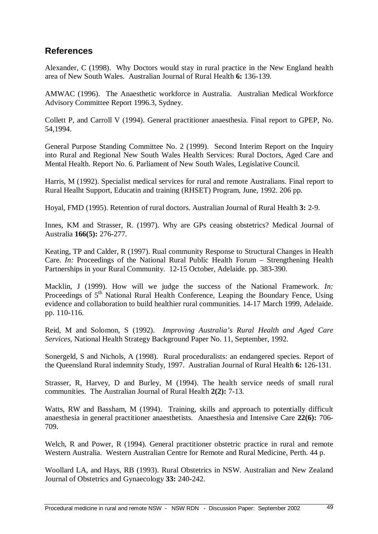## **References**

Alexander, C (1998). Why Doctors would stay in rural practice in the New England health area of New South Wales. Australian Journal of Rural Health **6:** 136-139.

AMWAC (1996). The Anaesthetic workforce in Australia. Australian Medical Workforce Advisory Committee Report 1996.3, Sydney.

Collett P, and Carroll V (1994). General practitioner anaesthesia. Final report to GPEP, No. 54,1994.

General Purpose Standing Committee No. 2 (1999). Second Interim Report on the Inquiry into Rural and Regional New South Wales Health Services: Rural Doctors, Aged Care and Mental Health. Report No. 6. Parliament of New South Wales, Legislative Council.

Harris, M (1992). Specialist medical services for rural and remote Australians. Final report to Rural Healht Support, Educatin and training (RHSET) Program, June, 1992. 206 pp.

Hoyal, FMD (1995). Retention of rural doctors. Australian Journal of Rural Health **3:** 2-9.

Innes, KM and Strasser, R. (1997). Why are GPs ceasing obstetrics? Medical Journal of Australia **166(5):** 276-277.

Keating, TP and Calder, R (1997). Rual community Response to Structural Changes in Health Care. *In:* Proceedings of the National Rural Public Health Forum – Strengthening Health Partnerships in your Rural Community. 12-15 October, Adelaide. pp. 383-390.

Macklin, J (1999). How will we judge the success of the National Framework. *In:* Proceedings of 5<sup>th</sup> National Rural Health Conference, Leaping the Boundary Fence, Using evidence and collaboration to build healthier rural communities. 14-17 March 1999, Adelaide. pp. 110-116.

Reid, M and Solomon, S (1992). *Improving Australia's Rural Health and Aged Care Services,* National Health Strategy Background Paper No. 11, September, 1992.

Sonergeld, S and Nichols, A (1998). Rural proceduralists: an endangered species. Report of the Queensland Rural indemnity Study, 1997. Australian Journal of Rural Health **6:** 126-131.

Strasser, R, Harvey, D and Burley, M (1994). The health service needs of small rural communities. The Australian Journal of Rural Health **2(2):** 7-13.

Watts, RW and Bassham, M (1994). Training, skills and approach to potentially difficult anaesthesia in general practitioner anaesthetists. Anaesthesia and Intensive Care **22(6):** 706- 709.

Welch, R and Power, R (1994). General practitioner obstetric practice in rural and remote Western Australia. Western Australian Centre for Remote and Rural Medicine, Perth. 44 p.

Woollard LA, and Hays, RB (1993). Rural Obstetrics in NSW. Australian and New Zealand Journal of Obstetrics and Gynaecology **33:** 240-242.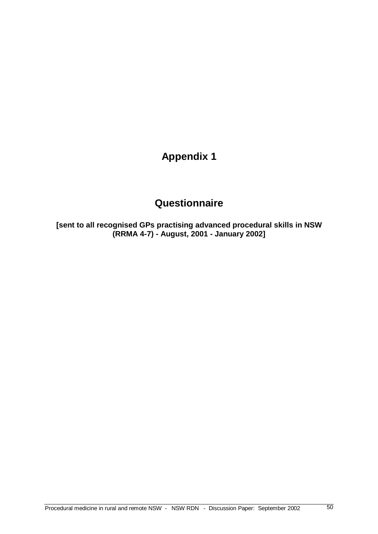## **Questionnaire**

**[sent to all recognised GPs practising advanced procedural skills in NSW (RRMA 4-7) - August, 2001 - January 2002]**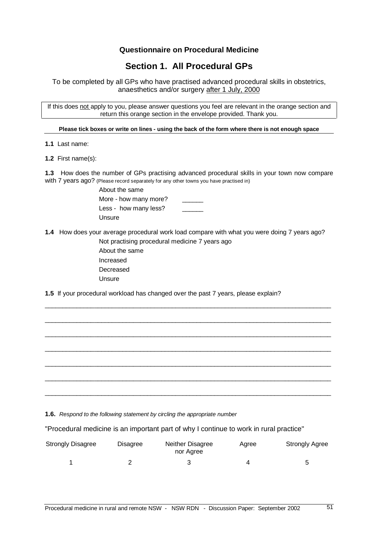### **Section 1. All Procedural GPs**

To be completed by all GPs who have practised advanced procedural skills in obstetrics, anaesthetics and/or surgery after 1 July, 2000

If this does not apply to you, please answer questions you feel are relevant in the orange section and return this orange section in the envelope provided. Thank you.

Please tick boxes or write on lines - using the back of the form where there is not enough space

**1.1** Last name:

**1.2** First name(s):

**1.3** How does the number of GPs practising advanced procedural skills in your town now compare with 7 years ago? (Please record separately for any other towns you have practised in)

> About the same More - how many more? Less - how many less? Unsure

**1.4** How does your average procedural work load compare with what you were doing 7 years ago?

\_\_\_\_\_\_\_\_\_\_\_\_\_\_\_\_\_\_\_\_\_\_\_\_\_\_\_\_\_\_\_\_\_\_\_\_\_\_\_\_\_\_\_\_\_\_\_\_\_\_\_\_\_\_\_\_\_\_\_\_\_\_\_\_\_\_\_\_\_\_\_\_\_\_\_\_\_\_\_\_\_

\_\_\_\_\_\_\_\_\_\_\_\_\_\_\_\_\_\_\_\_\_\_\_\_\_\_\_\_\_\_\_\_\_\_\_\_\_\_\_\_\_\_\_\_\_\_\_\_\_\_\_\_\_\_\_\_\_\_\_\_\_\_\_\_\_\_\_\_\_\_\_\_\_\_\_\_\_\_\_\_\_

\_\_\_\_\_\_\_\_\_\_\_\_\_\_\_\_\_\_\_\_\_\_\_\_\_\_\_\_\_\_\_\_\_\_\_\_\_\_\_\_\_\_\_\_\_\_\_\_\_\_\_\_\_\_\_\_\_\_\_\_\_\_\_\_\_\_\_\_\_\_\_\_\_\_\_\_\_\_\_\_\_

\_\_\_\_\_\_\_\_\_\_\_\_\_\_\_\_\_\_\_\_\_\_\_\_\_\_\_\_\_\_\_\_\_\_\_\_\_\_\_\_\_\_\_\_\_\_\_\_\_\_\_\_\_\_\_\_\_\_\_\_\_\_\_\_\_\_\_\_\_\_\_\_\_\_\_\_\_\_\_\_\_

\_\_\_\_\_\_\_\_\_\_\_\_\_\_\_\_\_\_\_\_\_\_\_\_\_\_\_\_\_\_\_\_\_\_\_\_\_\_\_\_\_\_\_\_\_\_\_\_\_\_\_\_\_\_\_\_\_\_\_\_\_\_\_\_\_\_\_\_\_\_\_\_\_\_\_\_\_\_\_\_\_

\_\_\_\_\_\_\_\_\_\_\_\_\_\_\_\_\_\_\_\_\_\_\_\_\_\_\_\_\_\_\_\_\_\_\_\_\_\_\_\_\_\_\_\_\_\_\_\_\_\_\_\_\_\_\_\_\_\_\_\_\_\_\_\_\_\_\_\_\_\_\_\_\_\_\_\_\_\_\_\_\_

\_\_\_\_\_\_\_\_\_\_\_\_\_\_\_\_\_\_\_\_\_\_\_\_\_\_\_\_\_\_\_\_\_\_\_\_\_\_\_\_\_\_\_\_\_\_\_\_\_\_\_\_\_\_\_\_\_\_\_\_\_\_\_\_\_\_\_\_\_\_\_\_\_\_\_\_\_\_\_\_\_

Not practising procedural medicine 7 years ago About the same Increased Decreased Unsure

**1.5** If your procedural workload has changed over the past 7 years, please explain?

**1.6.** Respond to the following statement by circling the appropriate number

"Procedural medicine is an important part of why I continue to work in rural practice"

| <b>Strongly Disagree</b> | <b>Disagree</b> | Neither Disagree<br>nor Agree | Aaree | <b>Strongly Agree</b> |
|--------------------------|-----------------|-------------------------------|-------|-----------------------|
|                          |                 |                               |       |                       |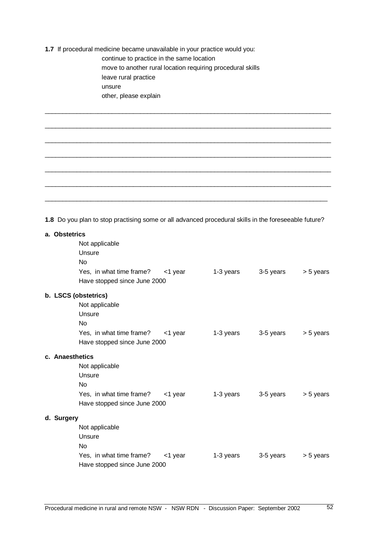**1.7** If procedural medicine became unavailable in your practice would you: continue to practice in the same location move to another rural location requiring procedural skills leave rural practice unsure other, please explain

**1.8** Do you plan to stop practising some or all advanced procedural skills in the foreseeable future?

\_\_\_\_\_\_\_\_\_\_\_\_\_\_\_\_\_\_\_\_\_\_\_\_\_\_\_\_\_\_\_\_\_\_\_\_\_\_\_\_\_\_\_\_\_\_\_\_\_\_\_\_\_\_\_\_\_\_\_\_\_\_\_\_\_\_\_\_\_\_\_\_\_\_\_\_\_\_\_\_\_

\_\_\_\_\_\_\_\_\_\_\_\_\_\_\_\_\_\_\_\_\_\_\_\_\_\_\_\_\_\_\_\_\_\_\_\_\_\_\_\_\_\_\_\_\_\_\_\_\_\_\_\_\_\_\_\_\_\_\_\_\_\_\_\_\_\_\_\_\_\_\_\_\_\_\_\_\_\_\_\_\_

\_\_\_\_\_\_\_\_\_\_\_\_\_\_\_\_\_\_\_\_\_\_\_\_\_\_\_\_\_\_\_\_\_\_\_\_\_\_\_\_\_\_\_\_\_\_\_\_\_\_\_\_\_\_\_\_\_\_\_\_\_\_\_\_\_\_\_\_\_\_\_\_\_\_\_\_\_\_\_\_\_

\_\_\_\_\_\_\_\_\_\_\_\_\_\_\_\_\_\_\_\_\_\_\_\_\_\_\_\_\_\_\_\_\_\_\_\_\_\_\_\_\_\_\_\_\_\_\_\_\_\_\_\_\_\_\_\_\_\_\_\_\_\_\_\_\_\_\_\_\_\_\_\_\_\_\_\_\_\_\_\_\_

\_\_\_\_\_\_\_\_\_\_\_\_\_\_\_\_\_\_\_\_\_\_\_\_\_\_\_\_\_\_\_\_\_\_\_\_\_\_\_\_\_\_\_\_\_\_\_\_\_\_\_\_\_\_\_\_\_\_\_\_\_\_\_\_\_\_\_\_\_\_\_\_\_\_\_\_\_\_\_\_\_

\_\_\_\_\_\_\_\_\_\_\_\_\_\_\_\_\_\_\_\_\_\_\_\_\_\_\_\_\_\_\_\_\_\_\_\_\_\_\_\_\_\_\_\_\_\_\_\_\_\_\_\_\_\_\_\_\_\_\_\_\_\_\_\_\_\_\_\_\_\_\_\_\_\_\_\_\_\_\_\_\_

 $\_$  ,  $\_$  ,  $\_$  ,  $\_$  ,  $\_$  ,  $\_$  ,  $\_$  ,  $\_$  ,  $\_$  ,  $\_$  ,  $\_$  ,  $\_$  ,  $\_$  ,  $\_$  ,  $\_$  ,  $\_$  ,  $\_$  ,  $\_$  ,  $\_$  ,  $\_$  ,  $\_$  ,  $\_$  ,  $\_$  ,  $\_$  ,  $\_$  ,  $\_$  ,  $\_$  ,  $\_$  ,  $\_$  ,  $\_$  ,  $\_$  ,  $\_$  ,  $\_$  ,  $\_$  ,  $\_$  ,  $\_$  ,  $\_$  ,

| a. Obstetrics                    |            |           |           |           |
|----------------------------------|------------|-----------|-----------|-----------|
| Not applicable                   |            |           |           |           |
| Unsure                           |            |           |           |           |
| No                               |            |           |           |           |
| Yes, in what time frame? <1 year |            | 1-3 years | 3-5 years | > 5 years |
| Have stopped since June 2000     |            |           |           |           |
| b. LSCS (obstetrics)             |            |           |           |           |
| Not applicable                   |            |           |           |           |
| Unsure                           |            |           |           |           |
| No                               |            |           |           |           |
| Yes, in what time frame?         | <1 year    | 1-3 years | 3-5 years | > 5 years |
| Have stopped since June 2000     |            |           |           |           |
| c. Anaesthetics                  |            |           |           |           |
| Not applicable                   |            |           |           |           |
| Unsure                           |            |           |           |           |
| No                               |            |           |           |           |
| Yes, in what time frame?         | $<$ 1 year | 1-3 years | 3-5 years | > 5 years |
| Have stopped since June 2000     |            |           |           |           |
| d. Surgery                       |            |           |           |           |
| Not applicable                   |            |           |           |           |
| Unsure                           |            |           |           |           |
| No                               |            |           |           |           |
| Yes, in what time frame?         | <1 year    | 1-3 years | 3-5 years | > 5 years |
| Have stopped since June 2000     |            |           |           |           |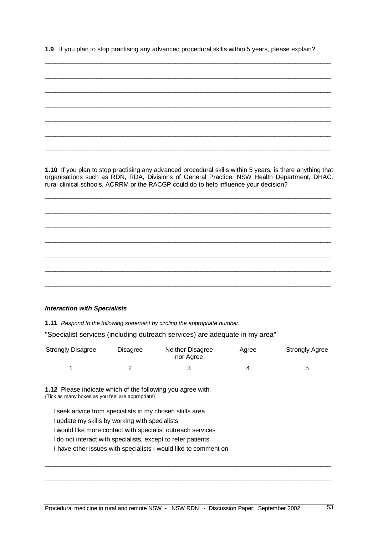**1.9** If you plan to stop practising any advanced procedural skills within 5 years, please explain?

\_\_\_\_\_\_\_\_\_\_\_\_\_\_\_\_\_\_\_\_\_\_\_\_\_\_\_\_\_\_\_\_\_\_\_\_\_\_\_\_\_\_\_\_\_\_\_\_\_\_\_\_\_\_\_\_\_\_\_\_\_\_\_\_\_\_\_\_\_\_\_\_\_\_\_\_\_\_\_\_\_

\_\_\_\_\_\_\_\_\_\_\_\_\_\_\_\_\_\_\_\_\_\_\_\_\_\_\_\_\_\_\_\_\_\_\_\_\_\_\_\_\_\_\_\_\_\_\_\_\_\_\_\_\_\_\_\_\_\_\_\_\_\_\_\_\_\_\_\_\_\_\_\_\_\_\_\_\_\_\_\_\_ \_\_\_\_\_\_\_\_\_\_\_\_\_\_\_\_\_\_\_\_\_\_\_\_\_\_\_\_\_\_\_\_\_\_\_\_\_\_\_\_\_\_\_\_\_\_\_\_\_\_\_\_\_\_\_\_\_\_\_\_\_\_\_\_\_\_\_\_\_\_\_\_\_\_\_\_\_\_\_\_\_ \_\_\_\_\_\_\_\_\_\_\_\_\_\_\_\_\_\_\_\_\_\_\_\_\_\_\_\_\_\_\_\_\_\_\_\_\_\_\_\_\_\_\_\_\_\_\_\_\_\_\_\_\_\_\_\_\_\_\_\_\_\_\_\_\_\_\_\_\_\_\_\_\_\_\_\_\_\_\_\_\_ \_\_\_\_\_\_\_\_\_\_\_\_\_\_\_\_\_\_\_\_\_\_\_\_\_\_\_\_\_\_\_\_\_\_\_\_\_\_\_\_\_\_\_\_\_\_\_\_\_\_\_\_\_\_\_\_\_\_\_\_\_\_\_\_\_\_\_\_\_\_\_\_\_\_\_\_\_\_\_\_\_ \_\_\_\_\_\_\_\_\_\_\_\_\_\_\_\_\_\_\_\_\_\_\_\_\_\_\_\_\_\_\_\_\_\_\_\_\_\_\_\_\_\_\_\_\_\_\_\_\_\_\_\_\_\_\_\_\_\_\_\_\_\_\_\_\_\_\_\_\_\_\_\_\_\_\_\_\_\_\_\_\_ \_\_\_\_\_\_\_\_\_\_\_\_\_\_\_\_\_\_\_\_\_\_\_\_\_\_\_\_\_\_\_\_\_\_\_\_\_\_\_\_\_\_\_\_\_\_\_\_\_\_\_\_\_\_\_\_\_\_\_\_\_\_\_\_\_\_\_\_\_\_\_\_\_\_\_\_\_\_\_\_\_ **1.10** If you plan to stop practising any advanced procedural skills within 5 years, is there anything that organisations such as RDN, RDA, Divisions of General Practice, NSW Health Department, DHAC, rural clinical schools, ACRRM or the RACGP could do to help influence your decision? \_\_\_\_\_\_\_\_\_\_\_\_\_\_\_\_\_\_\_\_\_\_\_\_\_\_\_\_\_\_\_\_\_\_\_\_\_\_\_\_\_\_\_\_\_\_\_\_\_\_\_\_\_\_\_\_\_\_\_\_\_\_\_\_\_\_\_\_\_\_\_\_\_\_\_\_\_\_\_\_\_ \_\_\_\_\_\_\_\_\_\_\_\_\_\_\_\_\_\_\_\_\_\_\_\_\_\_\_\_\_\_\_\_\_\_\_\_\_\_\_\_\_\_\_\_\_\_\_\_\_\_\_\_\_\_\_\_\_\_\_\_\_\_\_\_\_\_\_\_\_\_\_\_\_\_\_\_\_\_\_\_\_ \_\_\_\_\_\_\_\_\_\_\_\_\_\_\_\_\_\_\_\_\_\_\_\_\_\_\_\_\_\_\_\_\_\_\_\_\_\_\_\_\_\_\_\_\_\_\_\_\_\_\_\_\_\_\_\_\_\_\_\_\_\_\_\_\_\_\_\_\_\_\_\_\_\_\_\_\_\_\_\_\_ \_\_\_\_\_\_\_\_\_\_\_\_\_\_\_\_\_\_\_\_\_\_\_\_\_\_\_\_\_\_\_\_\_\_\_\_\_\_\_\_\_\_\_\_\_\_\_\_\_\_\_\_\_\_\_\_\_\_\_\_\_\_\_\_\_\_\_\_\_\_\_\_\_\_\_\_\_\_\_\_\_ \_\_\_\_\_\_\_\_\_\_\_\_\_\_\_\_\_\_\_\_\_\_\_\_\_\_\_\_\_\_\_\_\_\_\_\_\_\_\_\_\_\_\_\_\_\_\_\_\_\_\_\_\_\_\_\_\_\_\_\_\_\_\_\_\_\_\_\_\_\_\_\_\_\_\_\_\_\_\_\_\_ \_\_\_\_\_\_\_\_\_\_\_\_\_\_\_\_\_\_\_\_\_\_\_\_\_\_\_\_\_\_\_\_\_\_\_\_\_\_\_\_\_\_\_\_\_\_\_\_\_\_\_\_\_\_\_\_\_\_\_\_\_\_\_\_\_\_\_\_\_\_\_\_\_\_\_\_\_\_\_\_\_ \_\_\_\_\_\_\_\_\_\_\_\_\_\_\_\_\_\_\_\_\_\_\_\_\_\_\_\_\_\_\_\_\_\_\_\_\_\_\_\_\_\_\_\_\_\_\_\_\_\_\_\_\_\_\_\_\_\_\_\_\_\_\_\_\_\_\_\_\_\_\_\_\_\_\_\_\_\_\_\_\_

#### **Interaction with Specialists**

**1.11** Respond to the following statement by circling the appropriate number.

"Specialist services (including outreach services) are adequate in my area"

| <b>Strongly Disagree</b> | Disagree | Neither Disagree<br>nor Agree | Agree | <b>Strongly Agree</b> |
|--------------------------|----------|-------------------------------|-------|-----------------------|
|                          |          |                               |       |                       |

\_\_\_\_\_\_\_\_\_\_\_\_\_\_\_\_\_\_\_\_\_\_\_\_\_\_\_\_\_\_\_\_\_\_\_\_\_\_\_\_\_\_\_\_\_\_\_\_\_\_\_\_\_\_\_\_\_\_\_\_\_\_\_\_\_\_\_\_\_\_\_\_\_\_\_\_\_\_\_\_\_

\_\_\_\_\_\_\_\_\_\_\_\_\_\_\_\_\_\_\_\_\_\_\_\_\_\_\_\_\_\_\_\_\_\_\_\_\_\_\_\_\_\_\_\_\_\_\_\_\_\_\_\_\_\_\_\_\_\_\_\_\_\_\_\_\_\_\_\_\_\_\_\_\_\_\_\_\_\_\_\_\_

**1.12** Please indicate which of the following you agree with: {Tick as many boxes as you feel are appropriate}

I seek advice from specialists in my chosen skills area

I update my skills by working with specialists

I would like more contact with specialist outreach services

I do not interact with specialists, except to refer patients

I have other issues with specialists I would like to comment on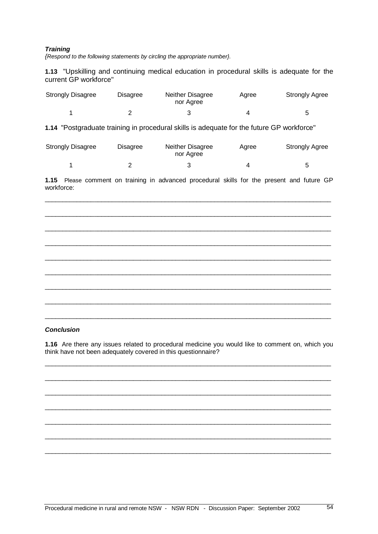#### **Training**

{Respond to the following statements by circling the appropriate number}.

**1.13** "Upskilling and continuing medical education in procedural skills is adequate for the current GP workforce"

| <b>Strongly Disagree</b> | Disagree | Neither Disagree<br>nor Agree | Aaree | <b>Strongly Agree</b> |
|--------------------------|----------|-------------------------------|-------|-----------------------|
|                          |          |                               |       | 5                     |

**1.14** "Postgraduate training in procedural skills is adequate for the future GP workforce"

| <b>Strongly Disagree</b> | <b>Disagree</b> | Neither Disagree<br>Agree<br>nor Agree |  | <b>Strongly Agree</b> |
|--------------------------|-----------------|----------------------------------------|--|-----------------------|
|                          |                 |                                        |  |                       |

**1.15** Please comment on training in advanced procedural skills for the present and future GP workforce:

\_\_\_\_\_\_\_\_\_\_\_\_\_\_\_\_\_\_\_\_\_\_\_\_\_\_\_\_\_\_\_\_\_\_\_\_\_\_\_\_\_\_\_\_\_\_\_\_\_\_\_\_\_\_\_\_\_\_\_\_\_\_\_\_\_\_\_\_\_\_\_\_\_\_\_\_\_\_\_\_\_

\_\_\_\_\_\_\_\_\_\_\_\_\_\_\_\_\_\_\_\_\_\_\_\_\_\_\_\_\_\_\_\_\_\_\_\_\_\_\_\_\_\_\_\_\_\_\_\_\_\_\_\_\_\_\_\_\_\_\_\_\_\_\_\_\_\_\_\_\_\_\_\_\_\_\_\_\_\_\_\_\_

\_\_\_\_\_\_\_\_\_\_\_\_\_\_\_\_\_\_\_\_\_\_\_\_\_\_\_\_\_\_\_\_\_\_\_\_\_\_\_\_\_\_\_\_\_\_\_\_\_\_\_\_\_\_\_\_\_\_\_\_\_\_\_\_\_\_\_\_\_\_\_\_\_\_\_\_\_\_\_\_\_

\_\_\_\_\_\_\_\_\_\_\_\_\_\_\_\_\_\_\_\_\_\_\_\_\_\_\_\_\_\_\_\_\_\_\_\_\_\_\_\_\_\_\_\_\_\_\_\_\_\_\_\_\_\_\_\_\_\_\_\_\_\_\_\_\_\_\_\_\_\_\_\_\_\_\_\_\_\_\_\_\_

\_\_\_\_\_\_\_\_\_\_\_\_\_\_\_\_\_\_\_\_\_\_\_\_\_\_\_\_\_\_\_\_\_\_\_\_\_\_\_\_\_\_\_\_\_\_\_\_\_\_\_\_\_\_\_\_\_\_\_\_\_\_\_\_\_\_\_\_\_\_\_\_\_\_\_\_\_\_\_\_\_

\_\_\_\_\_\_\_\_\_\_\_\_\_\_\_\_\_\_\_\_\_\_\_\_\_\_\_\_\_\_\_\_\_\_\_\_\_\_\_\_\_\_\_\_\_\_\_\_\_\_\_\_\_\_\_\_\_\_\_\_\_\_\_\_\_\_\_\_\_\_\_\_\_\_\_\_\_\_\_\_\_

\_\_\_\_\_\_\_\_\_\_\_\_\_\_\_\_\_\_\_\_\_\_\_\_\_\_\_\_\_\_\_\_\_\_\_\_\_\_\_\_\_\_\_\_\_\_\_\_\_\_\_\_\_\_\_\_\_\_\_\_\_\_\_\_\_\_\_\_\_\_\_\_\_\_\_\_\_\_\_\_\_

\_\_\_\_\_\_\_\_\_\_\_\_\_\_\_\_\_\_\_\_\_\_\_\_\_\_\_\_\_\_\_\_\_\_\_\_\_\_\_\_\_\_\_\_\_\_\_\_\_\_\_\_\_\_\_\_\_\_\_\_\_\_\_\_\_\_\_\_\_\_\_\_\_\_\_\_\_\_\_\_\_

\_\_\_\_\_\_\_\_\_\_\_\_\_\_\_\_\_\_\_\_\_\_\_\_\_\_\_\_\_\_\_\_\_\_\_\_\_\_\_\_\_\_\_\_\_\_\_\_\_\_\_\_\_\_\_\_\_\_\_\_\_\_\_\_\_\_\_\_\_\_\_\_\_\_\_\_\_\_\_\_\_

#### **Conclusion**

**1.16** Are there any issues related to procedural medicine you would like to comment on, which you think have not been adequately covered in this questionnaire?

\_\_\_\_\_\_\_\_\_\_\_\_\_\_\_\_\_\_\_\_\_\_\_\_\_\_\_\_\_\_\_\_\_\_\_\_\_\_\_\_\_\_\_\_\_\_\_\_\_\_\_\_\_\_\_\_\_\_\_\_\_\_\_\_\_\_\_\_\_\_\_\_\_\_\_\_\_\_\_\_\_

\_\_\_\_\_\_\_\_\_\_\_\_\_\_\_\_\_\_\_\_\_\_\_\_\_\_\_\_\_\_\_\_\_\_\_\_\_\_\_\_\_\_\_\_\_\_\_\_\_\_\_\_\_\_\_\_\_\_\_\_\_\_\_\_\_\_\_\_\_\_\_\_\_\_\_\_\_\_\_\_\_

\_\_\_\_\_\_\_\_\_\_\_\_\_\_\_\_\_\_\_\_\_\_\_\_\_\_\_\_\_\_\_\_\_\_\_\_\_\_\_\_\_\_\_\_\_\_\_\_\_\_\_\_\_\_\_\_\_\_\_\_\_\_\_\_\_\_\_\_\_\_\_\_\_\_\_\_\_\_\_\_\_

\_\_\_\_\_\_\_\_\_\_\_\_\_\_\_\_\_\_\_\_\_\_\_\_\_\_\_\_\_\_\_\_\_\_\_\_\_\_\_\_\_\_\_\_\_\_\_\_\_\_\_\_\_\_\_\_\_\_\_\_\_\_\_\_\_\_\_\_\_\_\_\_\_\_\_\_\_\_\_\_\_

\_\_\_\_\_\_\_\_\_\_\_\_\_\_\_\_\_\_\_\_\_\_\_\_\_\_\_\_\_\_\_\_\_\_\_\_\_\_\_\_\_\_\_\_\_\_\_\_\_\_\_\_\_\_\_\_\_\_\_\_\_\_\_\_\_\_\_\_\_\_\_\_\_\_\_\_\_\_\_\_\_

\_\_\_\_\_\_\_\_\_\_\_\_\_\_\_\_\_\_\_\_\_\_\_\_\_\_\_\_\_\_\_\_\_\_\_\_\_\_\_\_\_\_\_\_\_\_\_\_\_\_\_\_\_\_\_\_\_\_\_\_\_\_\_\_\_\_\_\_\_\_\_\_\_\_\_\_\_\_\_\_\_

\_\_\_\_\_\_\_\_\_\_\_\_\_\_\_\_\_\_\_\_\_\_\_\_\_\_\_\_\_\_\_\_\_\_\_\_\_\_\_\_\_\_\_\_\_\_\_\_\_\_\_\_\_\_\_\_\_\_\_\_\_\_\_\_\_\_\_\_\_\_\_\_\_\_\_\_\_\_\_\_\_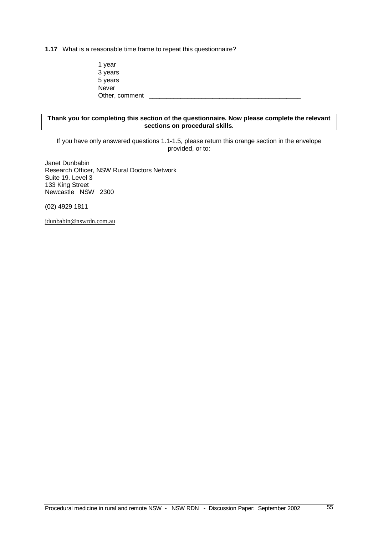**1.17** What is a reasonable time frame to repeat this questionnaire?

1 year 3 years 5 years **Never** Other, comment

#### **Thank you for completing this section of the questionnaire. Now please complete the relevant sections on procedural skills.**

If you have only answered questions 1.1-1.5, please return this orange section in the envelope provided, or to:

Janet Dunbabin Research Officer, NSW Rural Doctors Network Suite 19. Level 3 133 King Street Newcastle NSW 2300

(02) 4929 1811

jdunbabin@nswrdn.com.au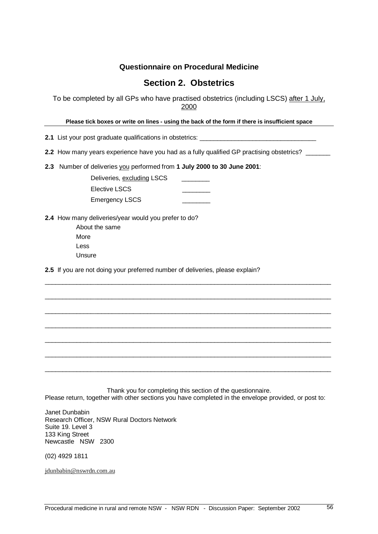### **Section 2. Obstetrics**

To be completed by all GPs who have practised obstetrics (including LSCS) after 1 July, 2000

Please tick boxes or write on lines - using the back of the form if there is insufficient space

**2.1** List your post graduate qualifications in obstetrics: \_\_\_\_\_\_\_\_\_\_\_\_\_\_\_\_\_\_\_\_\_

**2.2** How many years experience have you had as a fully qualified GP practising obstetrics? \_\_\_\_\_\_\_

**2.3** Number of deliveries you performed from **1 July 2000 to 30 June 2001**:

Deliveries, excluding LSCS Elective LSCS Emergency LSCS

**2.4** How many deliveries/year would you prefer to do?

About the same More Less Unsure

**2.5** If you are not doing your preferred number of deliveries, please explain?

Thank you for completing this section of the questionnaire. Please return, together with other sections you have completed in the envelope provided, or post to:

\_\_\_\_\_\_\_\_\_\_\_\_\_\_\_\_\_\_\_\_\_\_\_\_\_\_\_\_\_\_\_\_\_\_\_\_\_\_\_\_\_\_\_\_\_\_\_\_\_\_\_\_\_\_\_\_\_\_\_\_\_\_\_\_\_\_\_\_\_\_\_\_\_\_\_\_\_\_\_\_\_

\_\_\_\_\_\_\_\_\_\_\_\_\_\_\_\_\_\_\_\_\_\_\_\_\_\_\_\_\_\_\_\_\_\_\_\_\_\_\_\_\_\_\_\_\_\_\_\_\_\_\_\_\_\_\_\_\_\_\_\_\_\_\_\_\_\_\_\_\_\_\_\_\_\_\_\_\_\_\_\_\_

\_\_\_\_\_\_\_\_\_\_\_\_\_\_\_\_\_\_\_\_\_\_\_\_\_\_\_\_\_\_\_\_\_\_\_\_\_\_\_\_\_\_\_\_\_\_\_\_\_\_\_\_\_\_\_\_\_\_\_\_\_\_\_\_\_\_\_\_\_\_\_\_\_\_\_\_\_\_\_\_\_

\_\_\_\_\_\_\_\_\_\_\_\_\_\_\_\_\_\_\_\_\_\_\_\_\_\_\_\_\_\_\_\_\_\_\_\_\_\_\_\_\_\_\_\_\_\_\_\_\_\_\_\_\_\_\_\_\_\_\_\_\_\_\_\_\_\_\_\_\_\_\_\_\_\_\_\_\_\_\_\_\_

\_\_\_\_\_\_\_\_\_\_\_\_\_\_\_\_\_\_\_\_\_\_\_\_\_\_\_\_\_\_\_\_\_\_\_\_\_\_\_\_\_\_\_\_\_\_\_\_\_\_\_\_\_\_\_\_\_\_\_\_\_\_\_\_\_\_\_\_\_\_\_\_\_\_\_\_\_\_\_\_\_

\_\_\_\_\_\_\_\_\_\_\_\_\_\_\_\_\_\_\_\_\_\_\_\_\_\_\_\_\_\_\_\_\_\_\_\_\_\_\_\_\_\_\_\_\_\_\_\_\_\_\_\_\_\_\_\_\_\_\_\_\_\_\_\_\_\_\_\_\_\_\_\_\_\_\_\_\_\_\_\_\_

\_\_\_\_\_\_\_\_\_\_\_\_\_\_\_\_\_\_\_\_\_\_\_\_\_\_\_\_\_\_\_\_\_\_\_\_\_\_\_\_\_\_\_\_\_\_\_\_\_\_\_\_\_\_\_\_\_\_\_\_\_\_\_\_\_\_\_\_\_\_\_\_\_\_\_\_\_\_\_\_\_

Janet Dunbabin Research Officer, NSW Rural Doctors Network Suite 19. Level 3 133 King Street Newcastle NSW 2300

(02) 4929 1811

jdunbabin@nswrdn.com.au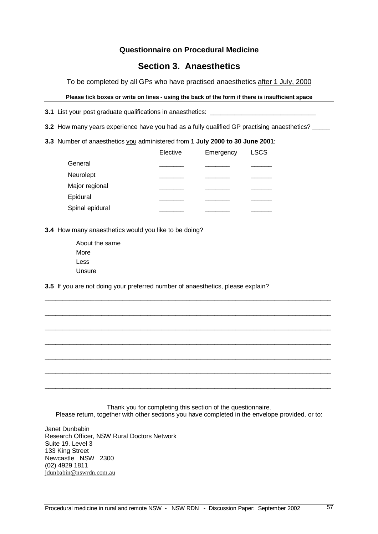### **Section 3. Anaesthetics**

To be completed by all GPs who have practised anaesthetics after 1 July, 2000

#### Please tick boxes or write on lines - using the back of the form if there is insufficient space

**3.1** List your post graduate qualifications in anaesthetics:

- **3.2** How many years experience have you had as a fully qualified GP practising anaesthetics? \_\_\_\_\_
- **3.3** Number of anaesthetics you administered from **1 July 2000 to 30 June 2001**:

|                 | Elective | Emergency | <b>LSCS</b> |
|-----------------|----------|-----------|-------------|
| General         |          |           |             |
| Neurolept       |          |           |             |
| Major regional  |          |           |             |
| Epidural        |          |           |             |
| Spinal epidural |          |           |             |

**3.4** How many anaesthetics would you like to be doing?

About the same More Less Unsure

**3.5** If you are not doing your preferred number of anaesthetics, please explain?

Thank you for completing this section of the questionnaire. Please return, together with other sections you have completed in the envelope provided, or to:

\_\_\_\_\_\_\_\_\_\_\_\_\_\_\_\_\_\_\_\_\_\_\_\_\_\_\_\_\_\_\_\_\_\_\_\_\_\_\_\_\_\_\_\_\_\_\_\_\_\_\_\_\_\_\_\_\_\_\_\_\_\_\_\_\_\_\_\_\_\_\_\_\_\_\_\_\_\_\_\_\_

\_\_\_\_\_\_\_\_\_\_\_\_\_\_\_\_\_\_\_\_\_\_\_\_\_\_\_\_\_\_\_\_\_\_\_\_\_\_\_\_\_\_\_\_\_\_\_\_\_\_\_\_\_\_\_\_\_\_\_\_\_\_\_\_\_\_\_\_\_\_\_\_\_\_\_\_\_\_\_\_\_

\_\_\_\_\_\_\_\_\_\_\_\_\_\_\_\_\_\_\_\_\_\_\_\_\_\_\_\_\_\_\_\_\_\_\_\_\_\_\_\_\_\_\_\_\_\_\_\_\_\_\_\_\_\_\_\_\_\_\_\_\_\_\_\_\_\_\_\_\_\_\_\_\_\_\_\_\_\_\_\_\_

\_\_\_\_\_\_\_\_\_\_\_\_\_\_\_\_\_\_\_\_\_\_\_\_\_\_\_\_\_\_\_\_\_\_\_\_\_\_\_\_\_\_\_\_\_\_\_\_\_\_\_\_\_\_\_\_\_\_\_\_\_\_\_\_\_\_\_\_\_\_\_\_\_\_\_\_\_\_\_\_\_

\_\_\_\_\_\_\_\_\_\_\_\_\_\_\_\_\_\_\_\_\_\_\_\_\_\_\_\_\_\_\_\_\_\_\_\_\_\_\_\_\_\_\_\_\_\_\_\_\_\_\_\_\_\_\_\_\_\_\_\_\_\_\_\_\_\_\_\_\_\_\_\_\_\_\_\_\_\_\_\_\_

\_\_\_\_\_\_\_\_\_\_\_\_\_\_\_\_\_\_\_\_\_\_\_\_\_\_\_\_\_\_\_\_\_\_\_\_\_\_\_\_\_\_\_\_\_\_\_\_\_\_\_\_\_\_\_\_\_\_\_\_\_\_\_\_\_\_\_\_\_\_\_\_\_\_\_\_\_\_\_\_\_

\_\_\_\_\_\_\_\_\_\_\_\_\_\_\_\_\_\_\_\_\_\_\_\_\_\_\_\_\_\_\_\_\_\_\_\_\_\_\_\_\_\_\_\_\_\_\_\_\_\_\_\_\_\_\_\_\_\_\_\_\_\_\_\_\_\_\_\_\_\_\_\_\_\_\_\_\_\_\_\_\_

Janet Dunbabin Research Officer, NSW Rural Doctors Network Suite 19. Level 3 133 King Street Newcastle NSW 2300 (02) 4929 1811 jdunbabin@nswrdn.com.au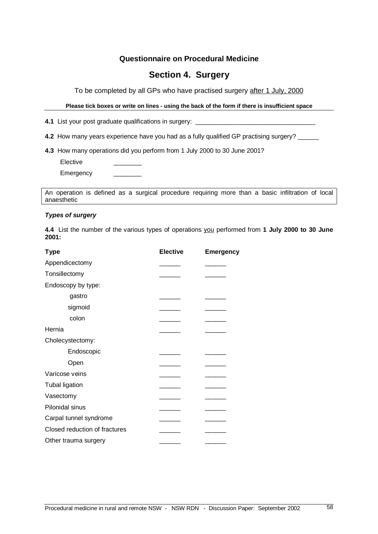## **Section 4. Surgery**

To be completed by all GPs who have practised surgery after 1 July, 2000

Please tick boxes or write on lines - using the back of the form if there is insufficient space

**4.1** List your post graduate qualifications in surgery:

**4.2** How many years experience have you had as a fully qualified GP practising surgery? \_\_\_\_\_\_

**4.3** How many operations did you perform from 1 July 2000 to 30 June 2001?

**Elective** 

Emergency

An operation is defined as a surgical procedure requiring more than a basic infiltration of local anaesthetic

#### **Types of surgery**

**4.4** List the number of the various types of operations you performed from **1 July 2000 to 30 June 2001:**

| <b>Type</b>                   | <b>Elective</b> | <b>Emergency</b> |
|-------------------------------|-----------------|------------------|
| Appendicectomy                |                 |                  |
| Tonsillectomy                 |                 |                  |
| Endoscopy by type:            |                 |                  |
| gastro                        |                 |                  |
| sigmoid                       |                 |                  |
| colon                         |                 |                  |
| Hernia                        |                 |                  |
| Cholecystectomy:              |                 |                  |
| Endoscopic                    |                 |                  |
| Open                          |                 |                  |
| Varicose veins                |                 |                  |
| <b>Tubal ligation</b>         |                 |                  |
| Vasectomy                     |                 |                  |
| Pilonidal sinus               |                 |                  |
| Carpal tunnel syndrome        |                 |                  |
| Closed reduction of fractures |                 |                  |
| Other trauma surgery          |                 |                  |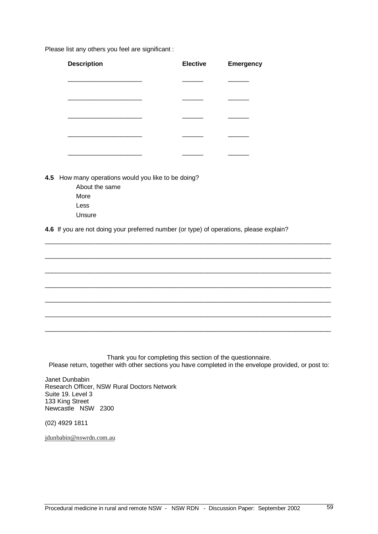Please list any others you feel are significant :

| <b>Description</b> | <b>Elective</b> | <b>Emergency</b> |
|--------------------|-----------------|------------------|
|                    |                 |                  |
|                    |                 |                  |
|                    |                 |                  |
|                    |                 |                  |
|                    |                 |                  |

**4.5** How many operations would you like to be doing?

About the same More Less Unsure

**4.6** If you are not doing your preferred number (or type) of operations, please explain?

\_\_\_\_\_\_\_\_\_\_\_\_\_\_\_\_\_\_\_\_\_\_\_\_\_\_\_\_\_\_\_\_\_\_\_\_\_\_\_\_\_\_\_\_\_\_\_\_\_\_\_\_\_\_\_\_\_\_\_\_\_\_\_\_\_\_\_\_\_\_\_\_\_\_\_\_\_\_\_\_\_

\_\_\_\_\_\_\_\_\_\_\_\_\_\_\_\_\_\_\_\_\_\_\_\_\_\_\_\_\_\_\_\_\_\_\_\_\_\_\_\_\_\_\_\_\_\_\_\_\_\_\_\_\_\_\_\_\_\_\_\_\_\_\_\_\_\_\_\_\_\_\_\_\_\_\_\_\_\_\_\_\_

\_\_\_\_\_\_\_\_\_\_\_\_\_\_\_\_\_\_\_\_\_\_\_\_\_\_\_\_\_\_\_\_\_\_\_\_\_\_\_\_\_\_\_\_\_\_\_\_\_\_\_\_\_\_\_\_\_\_\_\_\_\_\_\_\_\_\_\_\_\_\_\_\_\_\_\_\_\_\_\_\_

\_\_\_\_\_\_\_\_\_\_\_\_\_\_\_\_\_\_\_\_\_\_\_\_\_\_\_\_\_\_\_\_\_\_\_\_\_\_\_\_\_\_\_\_\_\_\_\_\_\_\_\_\_\_\_\_\_\_\_\_\_\_\_\_\_\_\_\_\_\_\_\_\_\_\_\_\_\_\_\_\_

\_\_\_\_\_\_\_\_\_\_\_\_\_\_\_\_\_\_\_\_\_\_\_\_\_\_\_\_\_\_\_\_\_\_\_\_\_\_\_\_\_\_\_\_\_\_\_\_\_\_\_\_\_\_\_\_\_\_\_\_\_\_\_\_\_\_\_\_\_\_\_\_\_\_\_\_\_\_\_\_\_

\_\_\_\_\_\_\_\_\_\_\_\_\_\_\_\_\_\_\_\_\_\_\_\_\_\_\_\_\_\_\_\_\_\_\_\_\_\_\_\_\_\_\_\_\_\_\_\_\_\_\_\_\_\_\_\_\_\_\_\_\_\_\_\_\_\_\_\_\_\_\_\_\_\_\_\_\_\_\_\_\_

\_\_\_\_\_\_\_\_\_\_\_\_\_\_\_\_\_\_\_\_\_\_\_\_\_\_\_\_\_\_\_\_\_\_\_\_\_\_\_\_\_\_\_\_\_\_\_\_\_\_\_\_\_\_\_\_\_\_\_\_\_\_\_\_\_\_\_\_\_\_\_\_\_\_\_\_\_\_\_\_\_

Thank you for completing this section of the questionnaire. Please return, together with other sections you have completed in the envelope provided, or post to:

Janet Dunbabin Research Officer, NSW Rural Doctors Network Suite 19. Level 3 133 King Street Newcastle NSW 2300

(02) 4929 1811

jdunbabin@nswrdn.com.au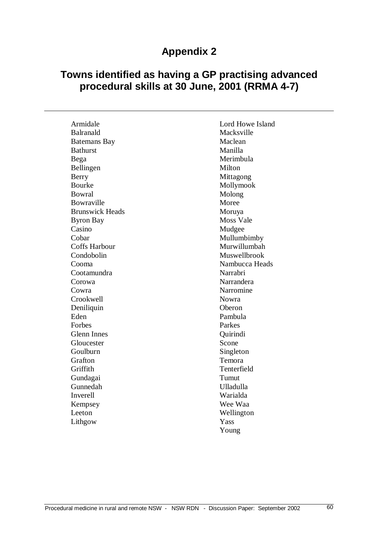## **Towns identified as having a GP practising advanced procedural skills at 30 June, 2001 (RRMA 4-7)**

| Armidale               | Lord Howe Island |
|------------------------|------------------|
| Balranald              | Macksville       |
| <b>Batemans Bay</b>    | Maclean          |
| <b>Bathurst</b>        | Manilla          |
|                        | Merimbula        |
| Bega                   | Milton           |
| Bellingen              |                  |
| Berry                  | Mittagong        |
| <b>Bourke</b>          | Mollymook        |
| Bowral                 | Molong           |
| Bowraville             | Moree            |
| <b>Brunswick Heads</b> | Moruya           |
| <b>Byron Bay</b>       | <b>Moss Vale</b> |
| Casino                 | Mudgee           |
| Cobar                  | Mullumbimby      |
| <b>Coffs Harbour</b>   | Murwillumbah     |
| Condobolin             | Muswellbrook     |
| Cooma                  | Nambucca Heads   |
| Cootamundra            | Narrabri         |
| Corowa                 | Narrandera       |
| Cowra                  | Narromine        |
| Crookwell              | <b>Nowra</b>     |
| Deniliquin             | Oberon           |
| Eden                   | Pambula          |
| Forbes                 | Parkes           |
| <b>Glenn Innes</b>     | Quirindi         |
| Gloucester             | Scone            |
| Goulburn               | Singleton        |
| Grafton                | Temora           |
| Griffith               | Tenterfield      |
| Gundagai               | Tumut            |
| Gunnedah               | <b>Ulladulla</b> |
| Inverell               | Warialda         |
| Kempsey                | Wee Waa          |
| Leeton                 | Wellington       |
| Lithgow                | Yass             |
|                        | Young            |
|                        |                  |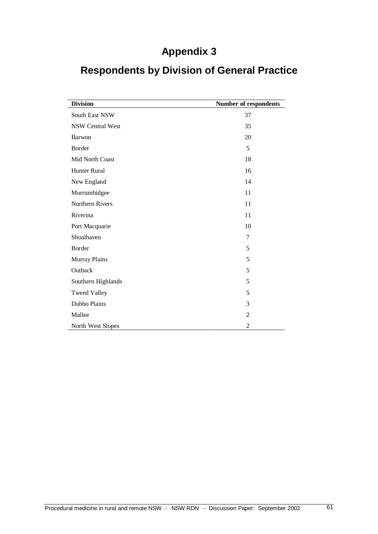| <b>Division</b>         | Number of respondents |
|-------------------------|-----------------------|
| South East NSW          | 37                    |
| <b>NSW Central West</b> | 35                    |
| Barwon                  | 20                    |
| Border                  | 5                     |
| Mid North Coast         | 18                    |
| Hunter Rural            | 16                    |
| New England             | 14                    |
| Murrumbidgee            | 11                    |
| Northern Rivers         | 11                    |
| Riverina                | 11                    |
| Port Macquarie          | 10                    |
| Shoalhaven              | 7                     |
| Border                  | 5                     |
| Murray Plains           | 5                     |
| Outback                 | 5                     |
| Southern Highlands      | 5                     |
| <b>Tweed Valley</b>     | 5                     |
| Dubbo Plains            | 3                     |
| Mallee                  | $\overline{2}$        |
| North West Slopes       | $\overline{2}$        |

## **Respondents by Division of General Practice**